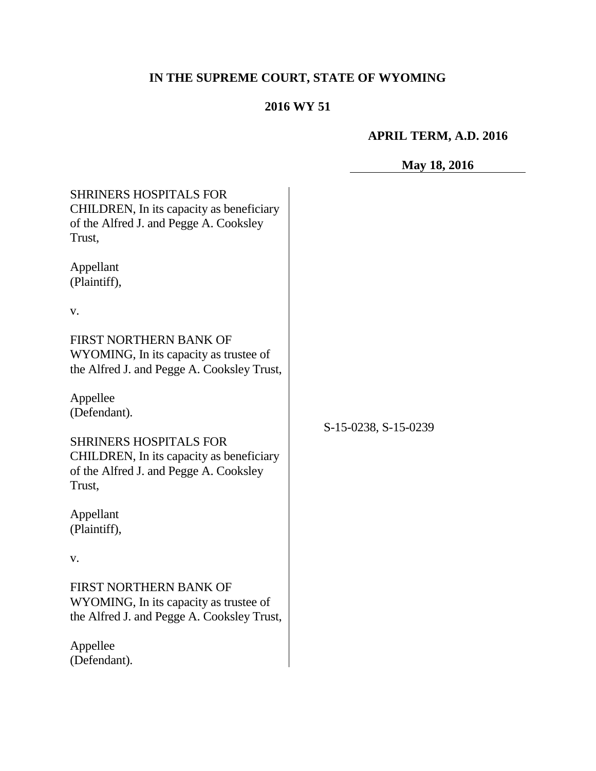# **IN THE SUPREME COURT, STATE OF WYOMING**

## **2016 WY 51**

## **APRIL TERM, A.D. 2016**

## **May 18, 2016**

| <b>SHRINERS HOSPITALS FOR</b><br>CHILDREN, In its capacity as beneficiary<br>of the Alfred J. and Pegge A. Cooksley<br>Trust, |                      |
|-------------------------------------------------------------------------------------------------------------------------------|----------------------|
| Appellant<br>(Plaintiff),                                                                                                     |                      |
| v.                                                                                                                            |                      |
| FIRST NORTHERN BANK OF<br>WYOMING, In its capacity as trustee of<br>the Alfred J. and Pegge A. Cooksley Trust,                | S-15-0238, S-15-0239 |
| Appellee<br>(Defendant).                                                                                                      |                      |
| <b>SHRINERS HOSPITALS FOR</b><br>CHILDREN, In its capacity as beneficiary<br>of the Alfred J. and Pegge A. Cooksley<br>Trust, |                      |
| Appellant<br>(Plaintiff),                                                                                                     |                      |
| v.                                                                                                                            |                      |
| FIRST NORTHERN BANK OF<br>WYOMING, In its capacity as trustee of<br>the Alfred J. and Pegge A. Cooksley Trust,                |                      |
| Appellee<br>(Defendant).                                                                                                      |                      |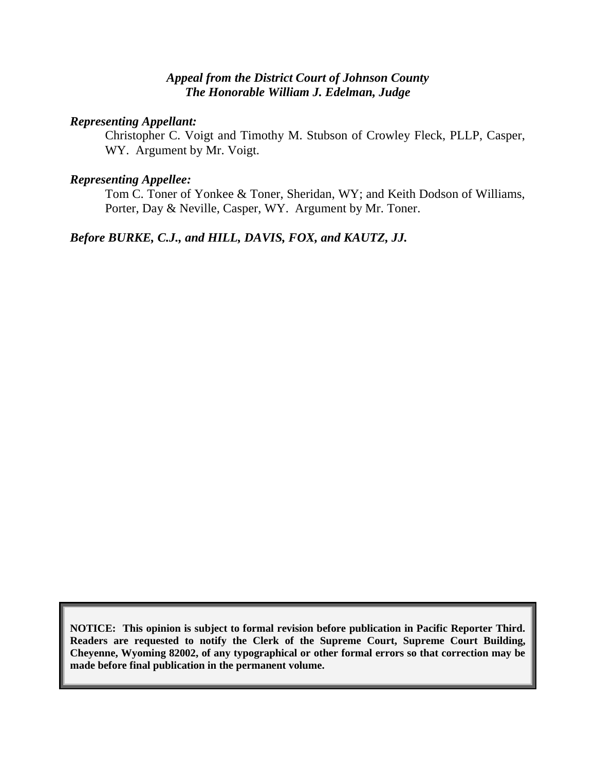#### *Appeal from the District Court of Johnson County The Honorable William J. Edelman, Judge*

#### *Representing Appellant:*

Christopher C. Voigt and Timothy M. Stubson of Crowley Fleck, PLLP, Casper, WY. Argument by Mr. Voigt.

#### *Representing Appellee:*

Tom C. Toner of Yonkee & Toner, Sheridan, WY; and Keith Dodson of Williams, Porter, Day & Neville, Casper, WY. Argument by Mr. Toner.

### *Before BURKE, C.J., and HILL, DAVIS, FOX, and KAUTZ, JJ.*

**NOTICE: This opinion is subject to formal revision before publication in Pacific Reporter Third. Readers are requested to notify the Clerk of the Supreme Court, Supreme Court Building, Cheyenne, Wyoming 82002, of any typographical or other formal errors so that correction may be made before final publication in the permanent volume.**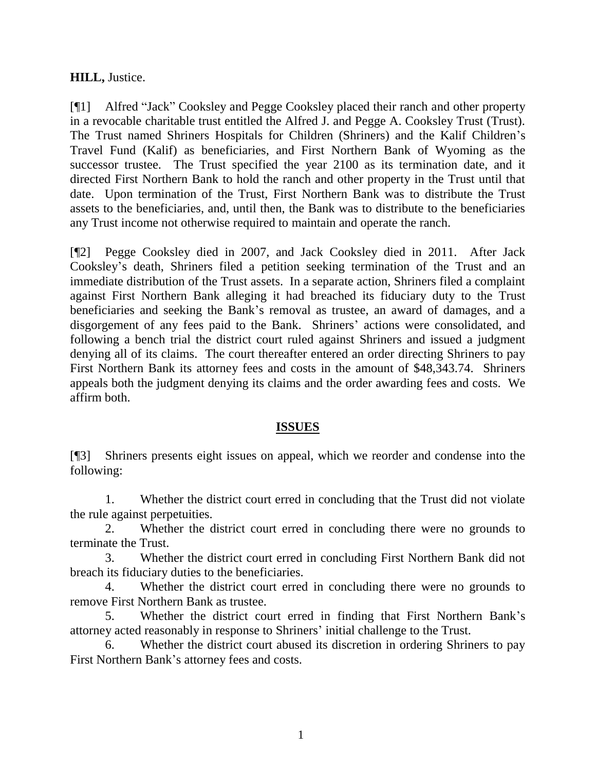#### **HILL,** Justice.

[¶1] Alfred "Jack" Cooksley and Pegge Cooksley placed their ranch and other property in a revocable charitable trust entitled the Alfred J. and Pegge A. Cooksley Trust (Trust). The Trust named Shriners Hospitals for Children (Shriners) and the Kalif Children's Travel Fund (Kalif) as beneficiaries, and First Northern Bank of Wyoming as the successor trustee. The Trust specified the year 2100 as its termination date, and it directed First Northern Bank to hold the ranch and other property in the Trust until that date. Upon termination of the Trust, First Northern Bank was to distribute the Trust assets to the beneficiaries, and, until then, the Bank was to distribute to the beneficiaries any Trust income not otherwise required to maintain and operate the ranch.

[¶2] Pegge Cooksley died in 2007, and Jack Cooksley died in 2011. After Jack Cooksley's death, Shriners filed a petition seeking termination of the Trust and an immediate distribution of the Trust assets. In a separate action, Shriners filed a complaint against First Northern Bank alleging it had breached its fiduciary duty to the Trust beneficiaries and seeking the Bank's removal as trustee, an award of damages, and a disgorgement of any fees paid to the Bank. Shriners' actions were consolidated, and following a bench trial the district court ruled against Shriners and issued a judgment denying all of its claims. The court thereafter entered an order directing Shriners to pay First Northern Bank its attorney fees and costs in the amount of \$48,343.74. Shriners appeals both the judgment denying its claims and the order awarding fees and costs. We affirm both.

#### **ISSUES**

[¶3] Shriners presents eight issues on appeal, which we reorder and condense into the following:

1. Whether the district court erred in concluding that the Trust did not violate the rule against perpetuities.

2. Whether the district court erred in concluding there were no grounds to terminate the Trust.

3. Whether the district court erred in concluding First Northern Bank did not breach its fiduciary duties to the beneficiaries.

4. Whether the district court erred in concluding there were no grounds to remove First Northern Bank as trustee.

5. Whether the district court erred in finding that First Northern Bank's attorney acted reasonably in response to Shriners' initial challenge to the Trust.

6. Whether the district court abused its discretion in ordering Shriners to pay First Northern Bank's attorney fees and costs.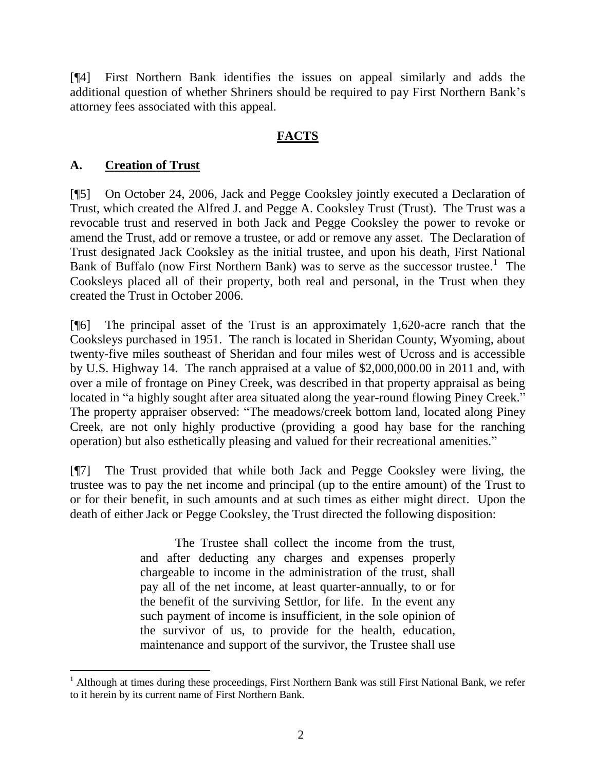[¶4] First Northern Bank identifies the issues on appeal similarly and adds the additional question of whether Shriners should be required to pay First Northern Bank's attorney fees associated with this appeal.

### **FACTS**

### **A. Creation of Trust**

l

[¶5] On October 24, 2006, Jack and Pegge Cooksley jointly executed a Declaration of Trust, which created the Alfred J. and Pegge A. Cooksley Trust (Trust). The Trust was a revocable trust and reserved in both Jack and Pegge Cooksley the power to revoke or amend the Trust, add or remove a trustee, or add or remove any asset. The Declaration of Trust designated Jack Cooksley as the initial trustee, and upon his death, First National Bank of Buffalo (now First Northern Bank) was to serve as the successor trustee.<sup>1</sup> The Cooksleys placed all of their property, both real and personal, in the Trust when they created the Trust in October 2006.

[¶6] The principal asset of the Trust is an approximately 1,620-acre ranch that the Cooksleys purchased in 1951. The ranch is located in Sheridan County, Wyoming, about twenty-five miles southeast of Sheridan and four miles west of Ucross and is accessible by U.S. Highway 14. The ranch appraised at a value of \$2,000,000.00 in 2011 and, with over a mile of frontage on Piney Creek, was described in that property appraisal as being located in "a highly sought after area situated along the year-round flowing Piney Creek." The property appraiser observed: "The meadows/creek bottom land, located along Piney Creek, are not only highly productive (providing a good hay base for the ranching operation) but also esthetically pleasing and valued for their recreational amenities."

[¶7] The Trust provided that while both Jack and Pegge Cooksley were living, the trustee was to pay the net income and principal (up to the entire amount) of the Trust to or for their benefit, in such amounts and at such times as either might direct. Upon the death of either Jack or Pegge Cooksley, the Trust directed the following disposition:

> The Trustee shall collect the income from the trust, and after deducting any charges and expenses properly chargeable to income in the administration of the trust, shall pay all of the net income, at least quarter-annually, to or for the benefit of the surviving Settlor, for life. In the event any such payment of income is insufficient, in the sole opinion of the survivor of us, to provide for the health, education, maintenance and support of the survivor, the Trustee shall use

<sup>&</sup>lt;sup>1</sup> Although at times during these proceedings, First Northern Bank was still First National Bank, we refer to it herein by its current name of First Northern Bank.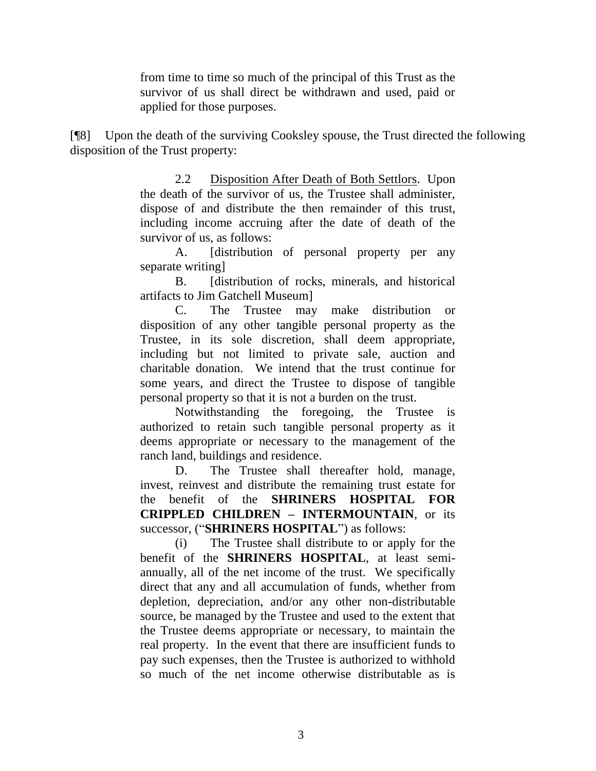from time to time so much of the principal of this Trust as the survivor of us shall direct be withdrawn and used, paid or applied for those purposes.

[¶8] Upon the death of the surviving Cooksley spouse, the Trust directed the following disposition of the Trust property:

> 2.2 Disposition After Death of Both Settlors. Upon the death of the survivor of us, the Trustee shall administer, dispose of and distribute the then remainder of this trust, including income accruing after the date of death of the survivor of us, as follows:

> A. [distribution of personal property per any separate writing]

> B. [distribution of rocks, minerals, and historical] artifacts to Jim Gatchell Museum]

> C. The Trustee may make distribution or disposition of any other tangible personal property as the Trustee, in its sole discretion, shall deem appropriate, including but not limited to private sale, auction and charitable donation. We intend that the trust continue for some years, and direct the Trustee to dispose of tangible personal property so that it is not a burden on the trust.

> Notwithstanding the foregoing, the Trustee is authorized to retain such tangible personal property as it deems appropriate or necessary to the management of the ranch land, buildings and residence.

> D. The Trustee shall thereafter hold, manage, invest, reinvest and distribute the remaining trust estate for the benefit of the **SHRINERS HOSPITAL FOR CRIPPLED CHILDREN – INTERMOUNTAIN**, or its successor, ("**SHRINERS HOSPITAL**") as follows:

> (i) The Trustee shall distribute to or apply for the benefit of the **SHRINERS HOSPITAL**, at least semiannually, all of the net income of the trust. We specifically direct that any and all accumulation of funds, whether from depletion, depreciation, and/or any other non-distributable source, be managed by the Trustee and used to the extent that the Trustee deems appropriate or necessary, to maintain the real property. In the event that there are insufficient funds to pay such expenses, then the Trustee is authorized to withhold so much of the net income otherwise distributable as is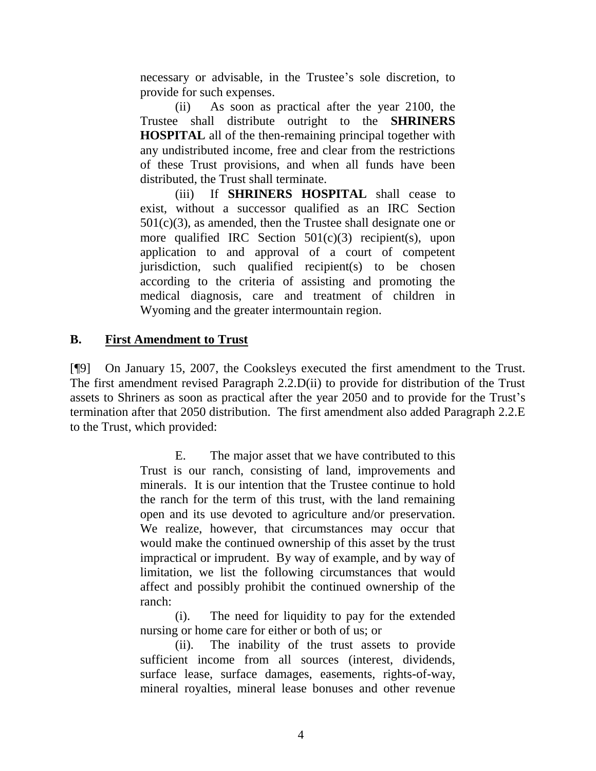necessary or advisable, in the Trustee's sole discretion, to provide for such expenses.

(ii) As soon as practical after the year 2100, the Trustee shall distribute outright to the **SHRINERS HOSPITAL** all of the then-remaining principal together with any undistributed income, free and clear from the restrictions of these Trust provisions, and when all funds have been distributed, the Trust shall terminate.

(iii) If **SHRINERS HOSPITAL** shall cease to exist, without a successor qualified as an IRC Section  $501(c)(3)$ , as amended, then the Trustee shall designate one or more qualified IRC Section 501(c)(3) recipient(s), upon application to and approval of a court of competent jurisdiction, such qualified recipient(s) to be chosen according to the criteria of assisting and promoting the medical diagnosis, care and treatment of children in Wyoming and the greater intermountain region.

#### **B. First Amendment to Trust**

[¶9] On January 15, 2007, the Cooksleys executed the first amendment to the Trust. The first amendment revised Paragraph 2.2.D(ii) to provide for distribution of the Trust assets to Shriners as soon as practical after the year 2050 and to provide for the Trust's termination after that 2050 distribution. The first amendment also added Paragraph 2.2.E to the Trust, which provided:

> E. The major asset that we have contributed to this Trust is our ranch, consisting of land, improvements and minerals. It is our intention that the Trustee continue to hold the ranch for the term of this trust, with the land remaining open and its use devoted to agriculture and/or preservation. We realize, however, that circumstances may occur that would make the continued ownership of this asset by the trust impractical or imprudent. By way of example, and by way of limitation, we list the following circumstances that would affect and possibly prohibit the continued ownership of the ranch:

> (i). The need for liquidity to pay for the extended nursing or home care for either or both of us; or

> (ii). The inability of the trust assets to provide sufficient income from all sources (interest, dividends, surface lease, surface damages, easements, rights-of-way, mineral royalties, mineral lease bonuses and other revenue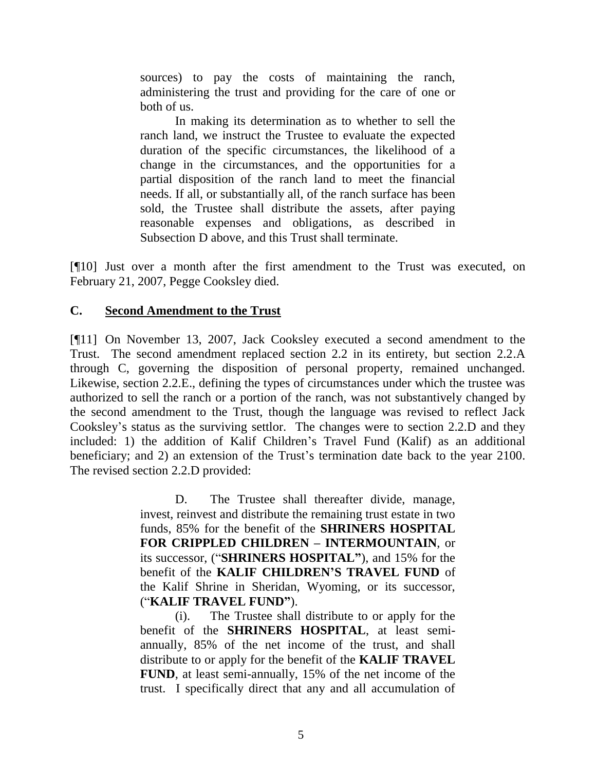sources) to pay the costs of maintaining the ranch, administering the trust and providing for the care of one or both of us.

In making its determination as to whether to sell the ranch land, we instruct the Trustee to evaluate the expected duration of the specific circumstances, the likelihood of a change in the circumstances, and the opportunities for a partial disposition of the ranch land to meet the financial needs. If all, or substantially all, of the ranch surface has been sold, the Trustee shall distribute the assets, after paying reasonable expenses and obligations, as described in Subsection D above, and this Trust shall terminate.

[¶10] Just over a month after the first amendment to the Trust was executed, on February 21, 2007, Pegge Cooksley died.

#### **C. Second Amendment to the Trust**

[¶11] On November 13, 2007, Jack Cooksley executed a second amendment to the Trust. The second amendment replaced section 2.2 in its entirety, but section 2.2.A through C, governing the disposition of personal property, remained unchanged. Likewise, section 2.2.E., defining the types of circumstances under which the trustee was authorized to sell the ranch or a portion of the ranch, was not substantively changed by the second amendment to the Trust, though the language was revised to reflect Jack Cooksley's status as the surviving settlor. The changes were to section 2.2.D and they included: 1) the addition of Kalif Children's Travel Fund (Kalif) as an additional beneficiary; and 2) an extension of the Trust's termination date back to the year 2100. The revised section 2.2.D provided:

> D. The Trustee shall thereafter divide, manage, invest, reinvest and distribute the remaining trust estate in two funds, 85% for the benefit of the **SHRINERS HOSPITAL FOR CRIPPLED CHILDREN – INTERMOUNTAIN**, or its successor, ("**SHRINERS HOSPITAL"**), and 15% for the benefit of the **KALIF CHILDREN'S TRAVEL FUND** of the Kalif Shrine in Sheridan, Wyoming, or its successor, ("**KALIF TRAVEL FUND"**).

> (i). The Trustee shall distribute to or apply for the benefit of the **SHRINERS HOSPITAL**, at least semiannually, 85% of the net income of the trust, and shall distribute to or apply for the benefit of the **KALIF TRAVEL FUND**, at least semi-annually, 15% of the net income of the trust. I specifically direct that any and all accumulation of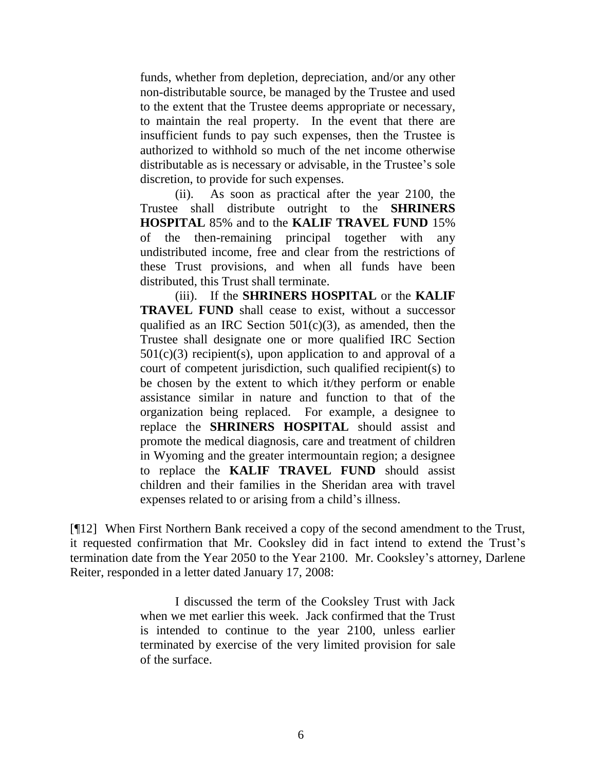funds, whether from depletion, depreciation, and/or any other non-distributable source, be managed by the Trustee and used to the extent that the Trustee deems appropriate or necessary, to maintain the real property. In the event that there are insufficient funds to pay such expenses, then the Trustee is authorized to withhold so much of the net income otherwise distributable as is necessary or advisable, in the Trustee's sole discretion, to provide for such expenses.

(ii). As soon as practical after the year 2100, the Trustee shall distribute outright to the **SHRINERS HOSPITAL** 85% and to the **KALIF TRAVEL FUND** 15% of the then-remaining principal together with any undistributed income, free and clear from the restrictions of these Trust provisions, and when all funds have been distributed, this Trust shall terminate.

(iii). If the **SHRINERS HOSPITAL** or the **KALIF TRAVEL FUND** shall cease to exist, without a successor qualified as an IRC Section  $501(c)(3)$ , as amended, then the Trustee shall designate one or more qualified IRC Section  $501(c)(3)$  recipient(s), upon application to and approval of a court of competent jurisdiction, such qualified recipient(s) to be chosen by the extent to which it/they perform or enable assistance similar in nature and function to that of the organization being replaced. For example, a designee to replace the **SHRINERS HOSPITAL** should assist and promote the medical diagnosis, care and treatment of children in Wyoming and the greater intermountain region; a designee to replace the **KALIF TRAVEL FUND** should assist children and their families in the Sheridan area with travel expenses related to or arising from a child's illness.

[¶12] When First Northern Bank received a copy of the second amendment to the Trust, it requested confirmation that Mr. Cooksley did in fact intend to extend the Trust's termination date from the Year 2050 to the Year 2100. Mr. Cooksley's attorney, Darlene Reiter, responded in a letter dated January 17, 2008:

> I discussed the term of the Cooksley Trust with Jack when we met earlier this week. Jack confirmed that the Trust is intended to continue to the year 2100, unless earlier terminated by exercise of the very limited provision for sale of the surface.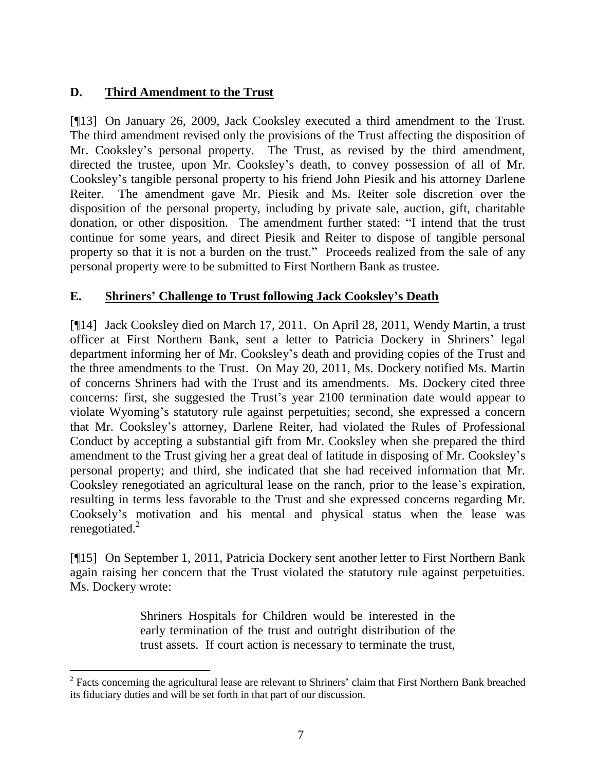### **D. Third Amendment to the Trust**

l

[¶13] On January 26, 2009, Jack Cooksley executed a third amendment to the Trust. The third amendment revised only the provisions of the Trust affecting the disposition of Mr. Cooksley's personal property. The Trust, as revised by the third amendment, directed the trustee, upon Mr. Cooksley's death, to convey possession of all of Mr. Cooksley's tangible personal property to his friend John Piesik and his attorney Darlene Reiter. The amendment gave Mr. Piesik and Ms. Reiter sole discretion over the disposition of the personal property, including by private sale, auction, gift, charitable donation, or other disposition. The amendment further stated: "I intend that the trust continue for some years, and direct Piesik and Reiter to dispose of tangible personal property so that it is not a burden on the trust." Proceeds realized from the sale of any personal property were to be submitted to First Northern Bank as trustee.

### **E. Shriners' Challenge to Trust following Jack Cooksley's Death**

[¶14] Jack Cooksley died on March 17, 2011. On April 28, 2011, Wendy Martin, a trust officer at First Northern Bank, sent a letter to Patricia Dockery in Shriners' legal department informing her of Mr. Cooksley's death and providing copies of the Trust and the three amendments to the Trust. On May 20, 2011, Ms. Dockery notified Ms. Martin of concerns Shriners had with the Trust and its amendments. Ms. Dockery cited three concerns: first, she suggested the Trust's year 2100 termination date would appear to violate Wyoming's statutory rule against perpetuities; second, she expressed a concern that Mr. Cooksley's attorney, Darlene Reiter, had violated the Rules of Professional Conduct by accepting a substantial gift from Mr. Cooksley when she prepared the third amendment to the Trust giving her a great deal of latitude in disposing of Mr. Cooksley's personal property; and third, she indicated that she had received information that Mr. Cooksley renegotiated an agricultural lease on the ranch, prior to the lease's expiration, resulting in terms less favorable to the Trust and she expressed concerns regarding Mr. Cooksely's motivation and his mental and physical status when the lease was renegotiated.<sup>2</sup>

[¶15] On September 1, 2011, Patricia Dockery sent another letter to First Northern Bank again raising her concern that the Trust violated the statutory rule against perpetuities. Ms. Dockery wrote:

> Shriners Hospitals for Children would be interested in the early termination of the trust and outright distribution of the trust assets. If court action is necessary to terminate the trust,

 $2$  Facts concerning the agricultural lease are relevant to Shriners' claim that First Northern Bank breached its fiduciary duties and will be set forth in that part of our discussion.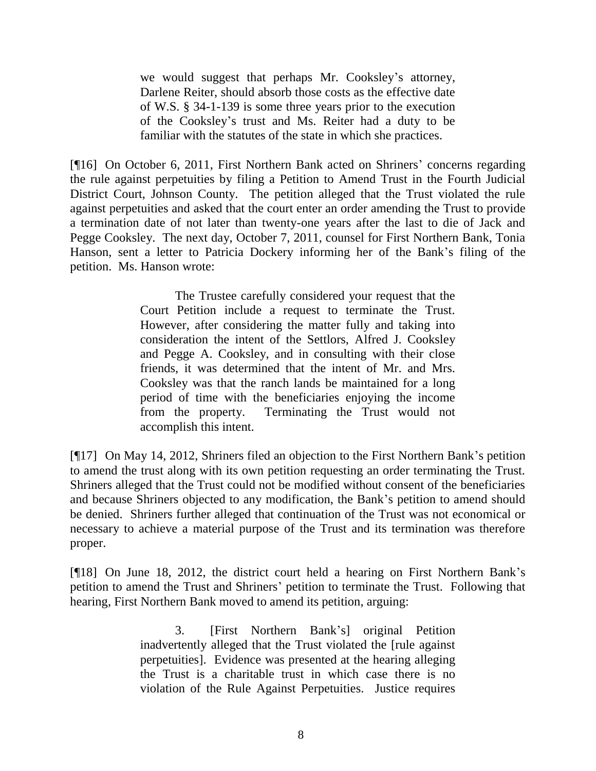we would suggest that perhaps Mr. Cooksley's attorney, Darlene Reiter, should absorb those costs as the effective date of W.S. § 34-1-139 is some three years prior to the execution of the Cooksley's trust and Ms. Reiter had a duty to be familiar with the statutes of the state in which she practices.

[¶16] On October 6, 2011, First Northern Bank acted on Shriners' concerns regarding the rule against perpetuities by filing a Petition to Amend Trust in the Fourth Judicial District Court, Johnson County. The petition alleged that the Trust violated the rule against perpetuities and asked that the court enter an order amending the Trust to provide a termination date of not later than twenty-one years after the last to die of Jack and Pegge Cooksley. The next day, October 7, 2011, counsel for First Northern Bank, Tonia Hanson, sent a letter to Patricia Dockery informing her of the Bank's filing of the petition. Ms. Hanson wrote:

> The Trustee carefully considered your request that the Court Petition include a request to terminate the Trust. However, after considering the matter fully and taking into consideration the intent of the Settlors, Alfred J. Cooksley and Pegge A. Cooksley, and in consulting with their close friends, it was determined that the intent of Mr. and Mrs. Cooksley was that the ranch lands be maintained for a long period of time with the beneficiaries enjoying the income from the property. Terminating the Trust would not accomplish this intent.

[¶17] On May 14, 2012, Shriners filed an objection to the First Northern Bank's petition to amend the trust along with its own petition requesting an order terminating the Trust. Shriners alleged that the Trust could not be modified without consent of the beneficiaries and because Shriners objected to any modification, the Bank's petition to amend should be denied. Shriners further alleged that continuation of the Trust was not economical or necessary to achieve a material purpose of the Trust and its termination was therefore proper.

[¶18] On June 18, 2012, the district court held a hearing on First Northern Bank's petition to amend the Trust and Shriners' petition to terminate the Trust. Following that hearing, First Northern Bank moved to amend its petition, arguing:

> 3. [First Northern Bank's] original Petition inadvertently alleged that the Trust violated the [rule against perpetuities]. Evidence was presented at the hearing alleging the Trust is a charitable trust in which case there is no violation of the Rule Against Perpetuities. Justice requires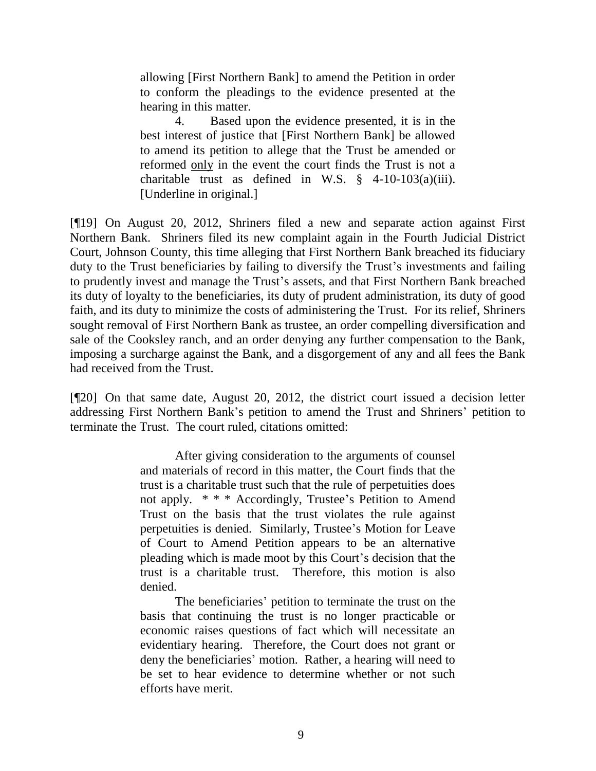allowing [First Northern Bank] to amend the Petition in order to conform the pleadings to the evidence presented at the hearing in this matter.

4. Based upon the evidence presented, it is in the best interest of justice that [First Northern Bank] be allowed to amend its petition to allege that the Trust be amended or reformed only in the event the court finds the Trust is not a charitable trust as defined in W.S.  $\S$  4-10-103(a)(iii). [Underline in original.]

[¶19] On August 20, 2012, Shriners filed a new and separate action against First Northern Bank. Shriners filed its new complaint again in the Fourth Judicial District Court, Johnson County, this time alleging that First Northern Bank breached its fiduciary duty to the Trust beneficiaries by failing to diversify the Trust's investments and failing to prudently invest and manage the Trust's assets, and that First Northern Bank breached its duty of loyalty to the beneficiaries, its duty of prudent administration, its duty of good faith, and its duty to minimize the costs of administering the Trust. For its relief, Shriners sought removal of First Northern Bank as trustee, an order compelling diversification and sale of the Cooksley ranch, and an order denying any further compensation to the Bank, imposing a surcharge against the Bank, and a disgorgement of any and all fees the Bank had received from the Trust.

[¶20] On that same date, August 20, 2012, the district court issued a decision letter addressing First Northern Bank's petition to amend the Trust and Shriners' petition to terminate the Trust. The court ruled, citations omitted:

> After giving consideration to the arguments of counsel and materials of record in this matter, the Court finds that the trust is a charitable trust such that the rule of perpetuities does not apply. \* \* \* Accordingly, Trustee's Petition to Amend Trust on the basis that the trust violates the rule against perpetuities is denied. Similarly, Trustee's Motion for Leave of Court to Amend Petition appears to be an alternative pleading which is made moot by this Court's decision that the trust is a charitable trust. Therefore, this motion is also denied.

> The beneficiaries' petition to terminate the trust on the basis that continuing the trust is no longer practicable or economic raises questions of fact which will necessitate an evidentiary hearing. Therefore, the Court does not grant or deny the beneficiaries' motion. Rather, a hearing will need to be set to hear evidence to determine whether or not such efforts have merit.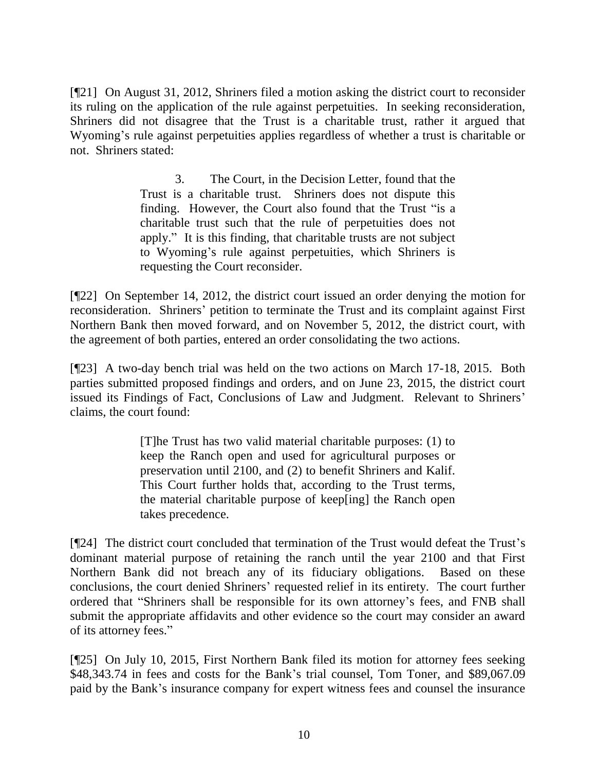[¶21] On August 31, 2012, Shriners filed a motion asking the district court to reconsider its ruling on the application of the rule against perpetuities. In seeking reconsideration, Shriners did not disagree that the Trust is a charitable trust, rather it argued that Wyoming's rule against perpetuities applies regardless of whether a trust is charitable or not. Shriners stated:

> 3. The Court, in the Decision Letter, found that the Trust is a charitable trust. Shriners does not dispute this finding. However, the Court also found that the Trust "is a charitable trust such that the rule of perpetuities does not apply." It is this finding, that charitable trusts are not subject to Wyoming's rule against perpetuities, which Shriners is requesting the Court reconsider.

[¶22] On September 14, 2012, the district court issued an order denying the motion for reconsideration. Shriners' petition to terminate the Trust and its complaint against First Northern Bank then moved forward, and on November 5, 2012, the district court, with the agreement of both parties, entered an order consolidating the two actions.

[¶23] A two-day bench trial was held on the two actions on March 17-18, 2015. Both parties submitted proposed findings and orders, and on June 23, 2015, the district court issued its Findings of Fact, Conclusions of Law and Judgment. Relevant to Shriners' claims, the court found:

> [T]he Trust has two valid material charitable purposes: (1) to keep the Ranch open and used for agricultural purposes or preservation until 2100, and (2) to benefit Shriners and Kalif. This Court further holds that, according to the Trust terms, the material charitable purpose of keep[ing] the Ranch open takes precedence.

[¶24] The district court concluded that termination of the Trust would defeat the Trust's dominant material purpose of retaining the ranch until the year 2100 and that First Northern Bank did not breach any of its fiduciary obligations. Based on these conclusions, the court denied Shriners' requested relief in its entirety. The court further ordered that "Shriners shall be responsible for its own attorney's fees, and FNB shall submit the appropriate affidavits and other evidence so the court may consider an award of its attorney fees."

[¶25] On July 10, 2015, First Northern Bank filed its motion for attorney fees seeking \$48,343.74 in fees and costs for the Bank's trial counsel, Tom Toner, and \$89,067.09 paid by the Bank's insurance company for expert witness fees and counsel the insurance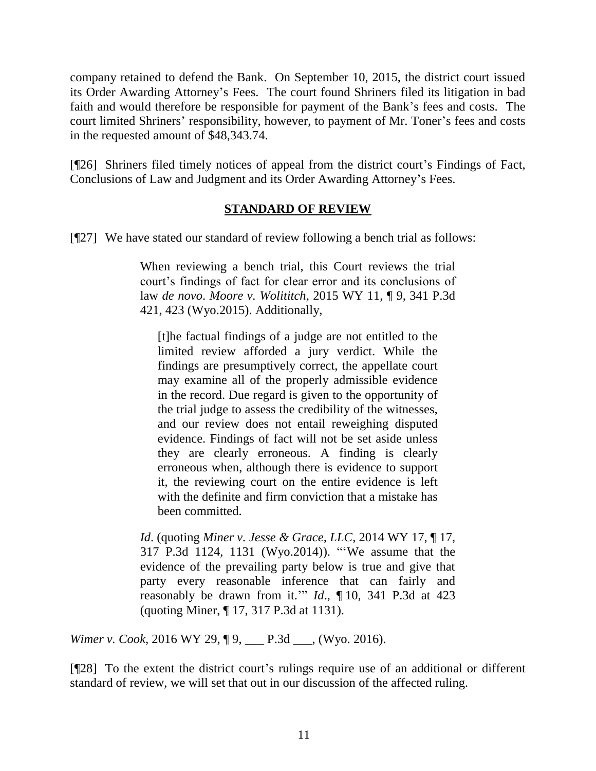company retained to defend the Bank. On September 10, 2015, the district court issued its Order Awarding Attorney's Fees. The court found Shriners filed its litigation in bad faith and would therefore be responsible for payment of the Bank's fees and costs. The court limited Shriners' responsibility, however, to payment of Mr. Toner's fees and costs in the requested amount of \$48,343.74.

[¶26] Shriners filed timely notices of appeal from the district court's Findings of Fact, Conclusions of Law and Judgment and its Order Awarding Attorney's Fees.

#### **STANDARD OF REVIEW**

[¶27] We have stated our standard of review following a bench trial as follows:

When reviewing a bench trial, this Court reviews the trial court's findings of fact for clear error and its conclusions of law *de novo*. *Moore v. Wolititch*[, 2015 WY 11, ¶ 9, 341 P.3d](http://www.westlaw.com/Link/Document/FullText?findType=Y&serNum=2035268429&pubNum=0004645&originatingDoc=I0552b0eae3b111e590d4edf60ce7d742&refType=RP&fi=co_pp_sp_4645_423&originationContext=document&vr=3.0&rs=cblt1.0&transitionType=DocumentItem&contextData=(sc.Keycite)#co_pp_sp_4645_423)  [421, 423 \(Wyo.2015\).](http://www.westlaw.com/Link/Document/FullText?findType=Y&serNum=2035268429&pubNum=0004645&originatingDoc=I0552b0eae3b111e590d4edf60ce7d742&refType=RP&fi=co_pp_sp_4645_423&originationContext=document&vr=3.0&rs=cblt1.0&transitionType=DocumentItem&contextData=(sc.Keycite)#co_pp_sp_4645_423) Additionally,

[t]he factual findings of a judge are not entitled to the limited review afforded a jury verdict. While the findings are presumptively correct, the appellate court may examine all of the properly admissible evidence in the record. Due regard is given to the opportunity of the trial judge to assess the credibility of the witnesses, and our review does not entail reweighing disputed evidence. Findings of fact will not be set aside unless they are clearly erroneous. A finding is clearly erroneous when, although there is evidence to support it, the reviewing court on the entire evidence is left with the definite and firm conviction that a mistake has been committed.

*Id*. (quoting *[Miner v. Jesse & Grace, LLC](http://www.westlaw.com/Link/Document/FullText?findType=Y&serNum=2032661379&pubNum=0004645&originatingDoc=I0552b0eae3b111e590d4edf60ce7d742&refType=RP&fi=co_pp_sp_4645_1131&originationContext=document&vr=3.0&rs=cblt1.0&transitionType=DocumentItem&contextData=(sc.Keycite)#co_pp_sp_4645_1131)*, 2014 WY 17, ¶ 17, [317 P.3d 1124, 1131 \(Wyo.2014\)\)](http://www.westlaw.com/Link/Document/FullText?findType=Y&serNum=2032661379&pubNum=0004645&originatingDoc=I0552b0eae3b111e590d4edf60ce7d742&refType=RP&fi=co_pp_sp_4645_1131&originationContext=document&vr=3.0&rs=cblt1.0&transitionType=DocumentItem&contextData=(sc.Keycite)#co_pp_sp_4645_1131). "'We assume that the evidence of the prevailing party below is true and give that party every reasonable inference that can fairly and reasonably be drawn from it.'" *Id*., ¶ [10, 341 P.3d at 423](http://www.westlaw.com/Link/Document/FullText?findType=Y&serNum=2035268429&pubNum=0004645&originatingDoc=I0552b0eae3b111e590d4edf60ce7d742&refType=RP&fi=co_pp_sp_4645_423&originationContext=document&vr=3.0&rs=cblt1.0&transitionType=DocumentItem&contextData=(sc.Keycite)#co_pp_sp_4645_423) (quoting [Miner, ¶ 17, 317 P.3d at 1131\)](http://www.westlaw.com/Link/Document/FullText?findType=Y&serNum=2032661379&pubNum=0004645&originatingDoc=I0552b0eae3b111e590d4edf60ce7d742&refType=RP&fi=co_pp_sp_4645_1131&originationContext=document&vr=3.0&rs=cblt1.0&transitionType=DocumentItem&contextData=(sc.Keycite)#co_pp_sp_4645_1131).

*Wimer v. Cook*, 2016 WY 29, ¶ 9, \_\_\_ P.3d \_\_\_, (Wyo. 2016).

[¶28] To the extent the district court's rulings require use of an additional or different standard of review, we will set that out in our discussion of the affected ruling.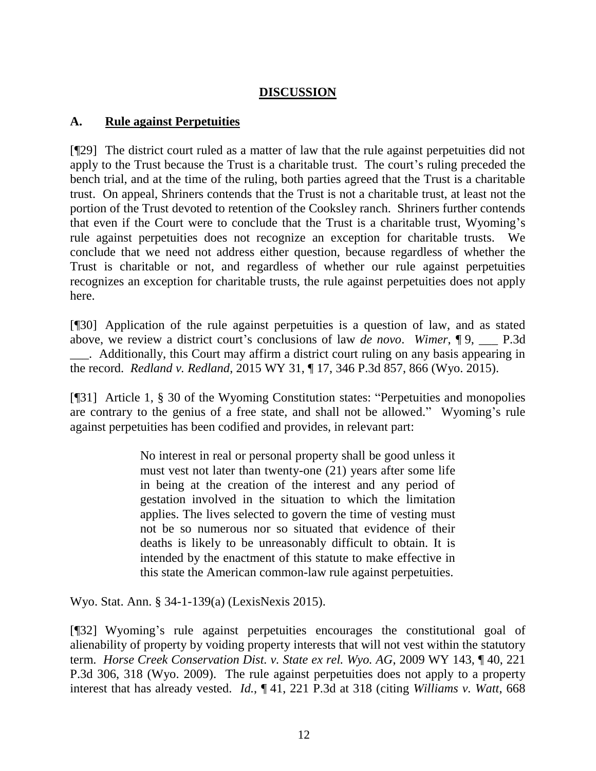### **DISCUSSION**

### **A. Rule against Perpetuities**

[¶29] The district court ruled as a matter of law that the rule against perpetuities did not apply to the Trust because the Trust is a charitable trust. The court's ruling preceded the bench trial, and at the time of the ruling, both parties agreed that the Trust is a charitable trust. On appeal, Shriners contends that the Trust is not a charitable trust, at least not the portion of the Trust devoted to retention of the Cooksley ranch. Shriners further contends that even if the Court were to conclude that the Trust is a charitable trust, Wyoming's rule against perpetuities does not recognize an exception for charitable trusts. We conclude that we need not address either question, because regardless of whether the Trust is charitable or not, and regardless of whether our rule against perpetuities recognizes an exception for charitable trusts, the rule against perpetuities does not apply here.

[¶30] Application of the rule against perpetuities is a question of law, and as stated above, we review a district court's conclusions of law *de novo*. *Wimer*, ¶ 9, \_\_\_ P.3d \_\_\_. Additionally, this Court may affirm a district court ruling on any basis appearing in the record. *Redland v. Redland*, 2015 WY 31, ¶ 17, 346 P.3d 857, 866 (Wyo. 2015).

[¶31] Article 1, § 30 of the Wyoming Constitution states: "Perpetuities and monopolies are contrary to the genius of a free state, and shall not be allowed." Wyoming's rule against perpetuities has been codified and provides, in relevant part:

> No interest in real or personal property shall be good unless it must vest not later than twenty-one (21) years after some life in being at the creation of the interest and any period of gestation involved in the situation to which the limitation applies. The lives selected to govern the time of vesting must not be so numerous nor so situated that evidence of their deaths is likely to be unreasonably difficult to obtain. It is intended by the enactment of this statute to make effective in this state the American common-law rule against perpetuities.

Wyo. Stat. Ann. § 34-1-139(a) (LexisNexis 2015).

[¶32] Wyoming's rule against perpetuities encourages the constitutional goal of alienability of property by voiding property interests that will not vest within the statutory term. *Horse Creek Conservation Dist. v. State ex rel. Wyo. AG*, 2009 WY 143, ¶ 40, 221 P.3d 306, 318 (Wyo. 2009). The rule against perpetuities does not apply to a property interest that has already vested. *Id.*, ¶ 41, 221 P.3d at 318 (citing *[Williams v. Watt](http://www.westlaw.com/Link/Document/FullText?findType=Y&serNum=1983137795&pubNum=661&originatingDoc=I231415a6d84711deb08de1b7506ad85b&refType=RP&fi=co_pp_sp_661_633&originationContext=document&vr=3.0&rs=cblt1.0&transitionType=DocumentItem&contextData=(sc.UserEnteredCitation)#co_pp_sp_661_633)*, 668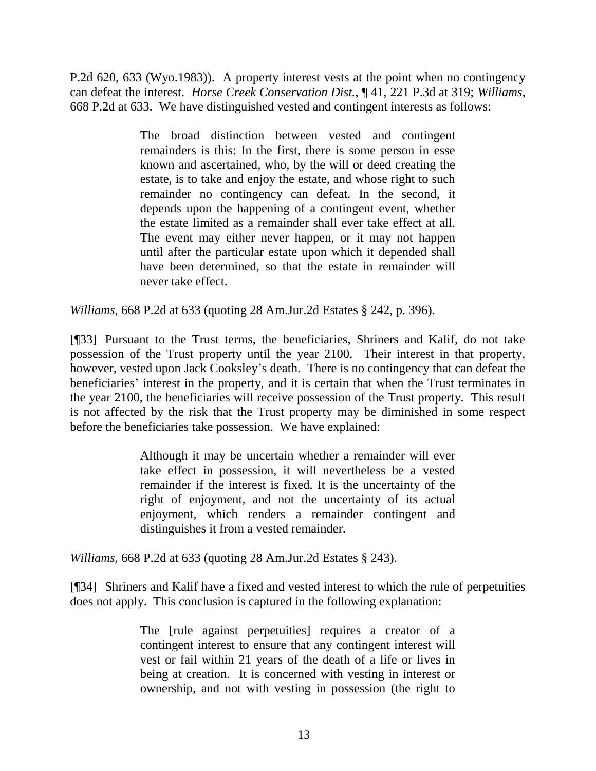P.2d 620, 633 (Wyo.1983)). A property interest vests at the point when no contingency can defeat the interest. *Horse Creek Conservation Dist.*, ¶ 41, 221 P.3d at 319; *Williams*, 668 P.2d at 633. We have distinguished vested and contingent interests as follows:

> The broad distinction between vested and contingent remainders is this: In the first, there is some person in esse known and ascertained, who, by the will or deed creating the estate, is to take and enjoy the estate, and whose right to such remainder no contingency can defeat. In the second, it depends upon the happening of a contingent event, whether the estate limited as a remainder shall ever take effect at all. The event may either never happen, or it may not happen until after the particular estate upon which it depended shall have been determined, so that the estate in remainder will never take effect.

*Williams*, 668 P.2d at 633 (quoting [28 Am.Jur.2d Estates § 242, p. 396\)](http://www.westlaw.com/Link/Document/FullText?findType=Y&serNum=0107490609&pubNum=0113469&originatingDoc=I7faeaa6ef53711d9b386b232635db992&refType=TS&originationContext=document&vr=3.0&rs=cblt1.0&transitionType=DocumentItem&contextData=(sc.DocLink)).

[¶33] Pursuant to the Trust terms, the beneficiaries, Shriners and Kalif, do not take possession of the Trust property until the year 2100. Their interest in that property, however, vested upon Jack Cooksley's death. There is no contingency that can defeat the beneficiaries' interest in the property, and it is certain that when the Trust terminates in the year 2100, the beneficiaries will receive possession of the Trust property. This result is not affected by the risk that the Trust property may be diminished in some respect before the beneficiaries take possession. We have explained:

> Although it may be uncertain whether a remainder will ever take effect in possession, it will nevertheless be a vested remainder if the interest is fixed. It is the uncertainty of the right of enjoyment, and not the uncertainty of its actual enjoyment, which renders a remainder contingent and distinguishes it from a vested remainder.

*Williams*, 668 P.2d at 633 (quoting [28 Am.Jur.2d Estates § 243\).](http://www.westlaw.com/Link/Document/FullText?findType=Y&serNum=0107490609&pubNum=0113469&originatingDoc=I7faeaa6ef53711d9b386b232635db992&refType=TS&originationContext=document&vr=3.0&rs=cblt1.0&transitionType=DocumentItem&contextData=(sc.DocLink))

[¶34] Shriners and Kalif have a fixed and vested interest to which the rule of perpetuities does not apply. This conclusion is captured in the following explanation:

> The [rule against perpetuities] requires a creator of a contingent interest to ensure that any contingent interest will vest or fail within 21 years of the death of a life or lives in being at creation. It is concerned with vesting in interest or ownership, and not with vesting in possession (the right to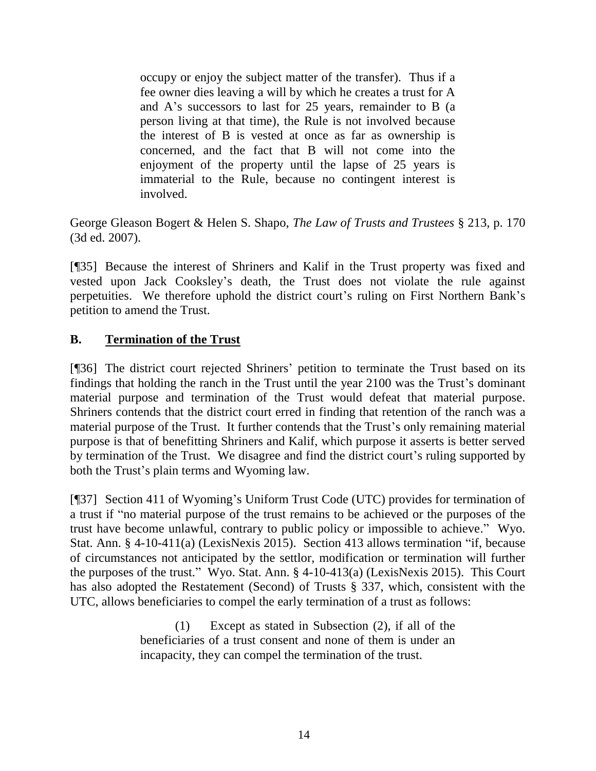occupy or enjoy the subject matter of the transfer). Thus if a fee owner dies leaving a will by which he creates a trust for A and A's successors to last for 25 years, remainder to B (a person living at that time), the Rule is not involved because the interest of B is vested at once as far as ownership is concerned, and the fact that B will not come into the enjoyment of the property until the lapse of 25 years is immaterial to the Rule, because no contingent interest is involved.

George Gleason Bogert & Helen S. Shapo, *The Law of Trusts and Trustees* § 213, p. 170 (3d ed. 2007).

[¶35] Because the interest of Shriners and Kalif in the Trust property was fixed and vested upon Jack Cooksley's death, the Trust does not violate the rule against perpetuities. We therefore uphold the district court's ruling on First Northern Bank's petition to amend the Trust.

### **B. Termination of the Trust**

[¶36] The district court rejected Shriners' petition to terminate the Trust based on its findings that holding the ranch in the Trust until the year 2100 was the Trust's dominant material purpose and termination of the Trust would defeat that material purpose. Shriners contends that the district court erred in finding that retention of the ranch was a material purpose of the Trust. It further contends that the Trust's only remaining material purpose is that of benefitting Shriners and Kalif, which purpose it asserts is better served by termination of the Trust. We disagree and find the district court's ruling supported by both the Trust's plain terms and Wyoming law.

[¶37] Section 411 of Wyoming's Uniform Trust Code (UTC) provides for termination of a trust if "no material purpose of the trust remains to be achieved or the purposes of the trust have become unlawful, contrary to public policy or impossible to achieve." Wyo. Stat. Ann. § 4-10-411(a) (LexisNexis 2015). Section 413 allows termination "if, because of circumstances not anticipated by the settlor, modification or termination will further the purposes of the trust." Wyo. Stat. Ann. § 4-10-413(a) (LexisNexis 2015). This Court has also adopted the Restatement (Second) of Trusts § 337, which, consistent with the UTC, allows beneficiaries to compel the early termination of a trust as follows:

> (1) Except as stated in Subsection (2), if all of the beneficiaries of a trust consent and none of them is under an incapacity, they can compel the termination of the trust.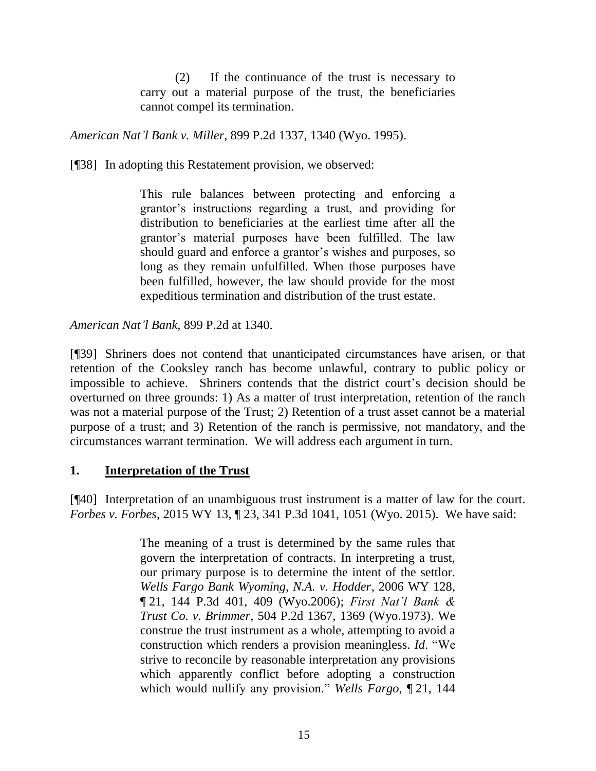(2) If the continuance of the trust is necessary to carry out a material purpose of the trust, the beneficiaries cannot compel its termination.

*American Nat'l Bank v. Miller*, 899 P.2d 1337, 1340 (Wyo. 1995).

[¶38] In adopting this Restatement provision, we observed:

This rule balances between protecting and enforcing a grantor's instructions regarding a trust, and providing for distribution to beneficiaries at the earliest time after all the grantor's material purposes have been fulfilled. The law should guard and enforce a grantor's wishes and purposes, so long as they remain unfulfilled. When those purposes have been fulfilled, however, the law should provide for the most expeditious termination and distribution of the trust estate.

*American Nat'l Bank*, 899 P.2d at 1340.

[¶39] Shriners does not contend that unanticipated circumstances have arisen, or that retention of the Cooksley ranch has become unlawful, contrary to public policy or impossible to achieve. Shriners contends that the district court's decision should be overturned on three grounds: 1) As a matter of trust interpretation, retention of the ranch was not a material purpose of the Trust; 2) Retention of a trust asset cannot be a material purpose of a trust; and 3) Retention of the ranch is permissive, not mandatory, and the circumstances warrant termination. We will address each argument in turn.

#### **1. Interpretation of the Trust**

[¶40] Interpretation of an unambiguous trust instrument is a matter of law for the court. *Forbes v. Forbes*, 2015 WY 13, ¶ 23, 341 P.3d 1041, 1051 (Wyo. 2015). We have said:

> The meaning of a trust is determined by the same rules that govern the interpretation of contracts. In interpreting a trust, our primary purpose is to determine the intent of the settlor. *[Wells Fargo Bank Wyoming, N.A. v. Hodder](http://www.westlaw.com/Link/Document/FullText?findType=Y&serNum=2010451540&pubNum=0004645&originatingDoc=Ic3ae0ea6e6ec11e1b60bb297d3d07bc5&refType=RP&fi=co_pp_sp_4645_409&originationContext=document&vr=3.0&rs=cblt1.0&transitionType=DocumentItem&contextData=(sc.Search)#co_pp_sp_4645_409)*, 2006 WY 128, ¶ [21, 144 P.3d 401, 409 \(Wyo.2006\);](http://www.westlaw.com/Link/Document/FullText?findType=Y&serNum=2010451540&pubNum=0004645&originatingDoc=Ic3ae0ea6e6ec11e1b60bb297d3d07bc5&refType=RP&fi=co_pp_sp_4645_409&originationContext=document&vr=3.0&rs=cblt1.0&transitionType=DocumentItem&contextData=(sc.Search)#co_pp_sp_4645_409) *[First Nat'l Bank &](http://www.westlaw.com/Link/Document/FullText?findType=Y&serNum=1973121732&pubNum=0000661&originatingDoc=Ic3ae0ea6e6ec11e1b60bb297d3d07bc5&refType=RP&fi=co_pp_sp_661_1369&originationContext=document&vr=3.0&rs=cblt1.0&transitionType=DocumentItem&contextData=(sc.Search)#co_pp_sp_661_1369)  Trust Co. v. Brimmer*[, 504 P.2d 1367, 1369 \(Wyo.1973\).](http://www.westlaw.com/Link/Document/FullText?findType=Y&serNum=1973121732&pubNum=0000661&originatingDoc=Ic3ae0ea6e6ec11e1b60bb297d3d07bc5&refType=RP&fi=co_pp_sp_661_1369&originationContext=document&vr=3.0&rs=cblt1.0&transitionType=DocumentItem&contextData=(sc.Search)#co_pp_sp_661_1369) We construe the trust instrument as a whole, attempting to avoid a construction which renders a provision meaningless. *Id*. "We strive to reconcile by reasonable interpretation any provisions which apparently conflict before adopting a construction which would nullify any provision." *[Wells Fargo](http://www.westlaw.com/Link/Document/FullText?findType=Y&serNum=2010451540&pubNum=4645&originatingDoc=Ic3ae0ea6e6ec11e1b60bb297d3d07bc5&refType=RP&fi=co_pp_sp_4645_409&originationContext=document&vr=3.0&rs=cblt1.0&transitionType=DocumentItem&contextData=(sc.Search)#co_pp_sp_4645_409)*, ¶ 21, 144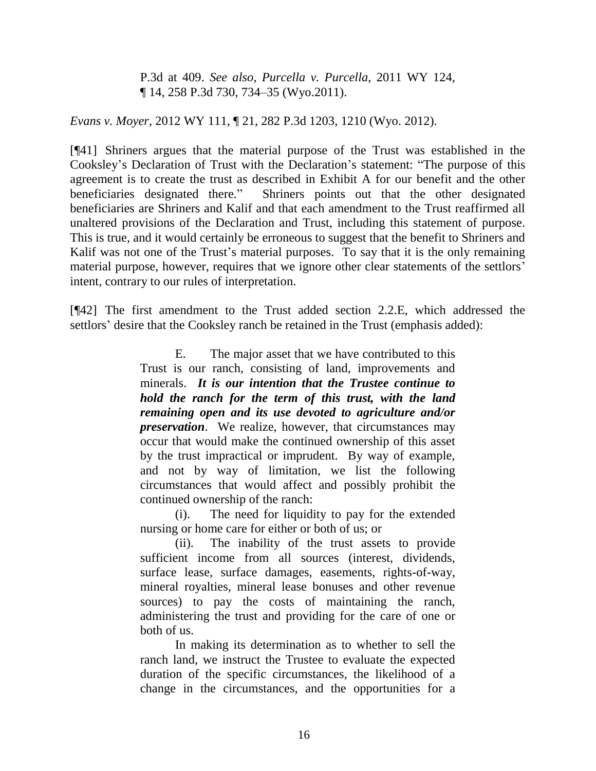P.3d at 409. *See also*, *[Purcella v. Purcella](http://www.westlaw.com/Link/Document/FullText?findType=Y&serNum=2025946165&pubNum=0004645&originatingDoc=Ic3ae0ea6e6ec11e1b60bb297d3d07bc5&refType=RP&fi=co_pp_sp_4645_734&originationContext=document&vr=3.0&rs=cblt1.0&transitionType=DocumentItem&contextData=(sc.Search)#co_pp_sp_4645_734)*, 2011 WY 124, ¶ [14, 258 P.3d 730, 734–35 \(Wyo.2011\).](http://www.westlaw.com/Link/Document/FullText?findType=Y&serNum=2025946165&pubNum=0004645&originatingDoc=Ic3ae0ea6e6ec11e1b60bb297d3d07bc5&refType=RP&fi=co_pp_sp_4645_734&originationContext=document&vr=3.0&rs=cblt1.0&transitionType=DocumentItem&contextData=(sc.Search)#co_pp_sp_4645_734)

#### *Evans v. Moyer*, 2012 WY 111, ¶ 21, 282 P.3d 1203, 1210 (Wyo. 2012).

[¶41] Shriners argues that the material purpose of the Trust was established in the Cooksley's Declaration of Trust with the Declaration's statement: "The purpose of this agreement is to create the trust as described in Exhibit A for our benefit and the other beneficiaries designated there." Shriners points out that the other designated beneficiaries are Shriners and Kalif and that each amendment to the Trust reaffirmed all unaltered provisions of the Declaration and Trust, including this statement of purpose. This is true, and it would certainly be erroneous to suggest that the benefit to Shriners and Kalif was not one of the Trust's material purposes. To say that it is the only remaining material purpose, however, requires that we ignore other clear statements of the settlors' intent, contrary to our rules of interpretation.

[¶42] The first amendment to the Trust added section 2.2.E, which addressed the settlors' desire that the Cooksley ranch be retained in the Trust (emphasis added):

> E. The major asset that we have contributed to this Trust is our ranch, consisting of land, improvements and minerals. *It is our intention that the Trustee continue to hold the ranch for the term of this trust, with the land remaining open and its use devoted to agriculture and/or preservation*. We realize, however, that circumstances may occur that would make the continued ownership of this asset by the trust impractical or imprudent. By way of example, and not by way of limitation, we list the following circumstances that would affect and possibly prohibit the continued ownership of the ranch:

> (i). The need for liquidity to pay for the extended nursing or home care for either or both of us; or

> (ii). The inability of the trust assets to provide sufficient income from all sources (interest, dividends, surface lease, surface damages, easements, rights-of-way, mineral royalties, mineral lease bonuses and other revenue sources) to pay the costs of maintaining the ranch, administering the trust and providing for the care of one or both of us.

> In making its determination as to whether to sell the ranch land, we instruct the Trustee to evaluate the expected duration of the specific circumstances, the likelihood of a change in the circumstances, and the opportunities for a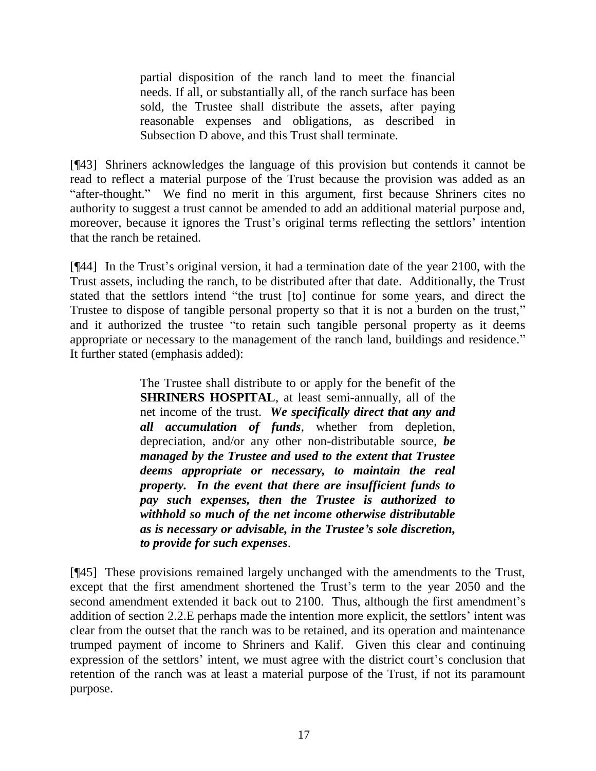partial disposition of the ranch land to meet the financial needs. If all, or substantially all, of the ranch surface has been sold, the Trustee shall distribute the assets, after paying reasonable expenses and obligations, as described in Subsection D above, and this Trust shall terminate.

[¶43] Shriners acknowledges the language of this provision but contends it cannot be read to reflect a material purpose of the Trust because the provision was added as an "after-thought." We find no merit in this argument, first because Shriners cites no authority to suggest a trust cannot be amended to add an additional material purpose and, moreover, because it ignores the Trust's original terms reflecting the settlors' intention that the ranch be retained.

[¶44] In the Trust's original version, it had a termination date of the year 2100, with the Trust assets, including the ranch, to be distributed after that date. Additionally, the Trust stated that the settlors intend "the trust [to] continue for some years, and direct the Trustee to dispose of tangible personal property so that it is not a burden on the trust," and it authorized the trustee "to retain such tangible personal property as it deems appropriate or necessary to the management of the ranch land, buildings and residence." It further stated (emphasis added):

> The Trustee shall distribute to or apply for the benefit of the **SHRINERS HOSPITAL**, at least semi-annually, all of the net income of the trust. *We specifically direct that any and all accumulation of funds*, whether from depletion, depreciation, and/or any other non-distributable source, *be managed by the Trustee and used to the extent that Trustee deems appropriate or necessary, to maintain the real property. In the event that there are insufficient funds to pay such expenses, then the Trustee is authorized to withhold so much of the net income otherwise distributable as is necessary or advisable, in the Trustee's sole discretion, to provide for such expenses*.

[¶45] These provisions remained largely unchanged with the amendments to the Trust, except that the first amendment shortened the Trust's term to the year 2050 and the second amendment extended it back out to 2100. Thus, although the first amendment's addition of section 2.2.E perhaps made the intention more explicit, the settlors' intent was clear from the outset that the ranch was to be retained, and its operation and maintenance trumped payment of income to Shriners and Kalif. Given this clear and continuing expression of the settlors' intent, we must agree with the district court's conclusion that retention of the ranch was at least a material purpose of the Trust, if not its paramount purpose.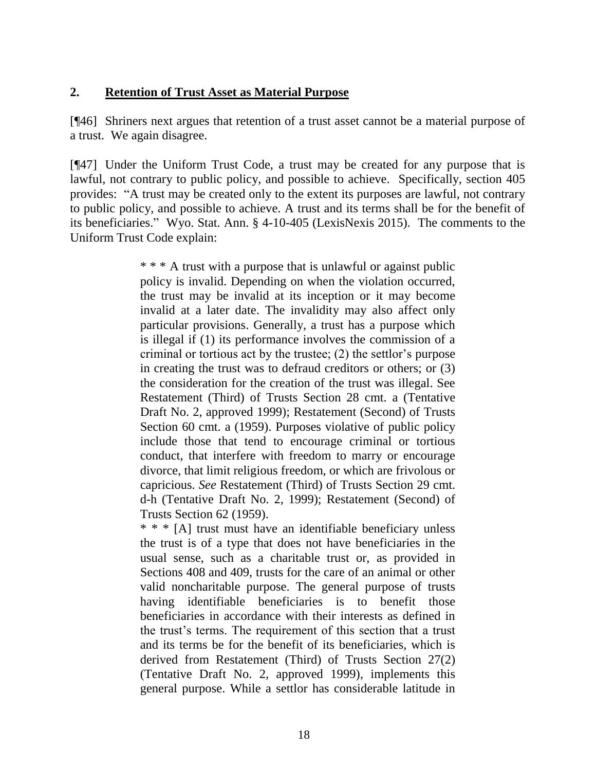#### **2. Retention of Trust Asset as Material Purpose**

[¶46] Shriners next argues that retention of a trust asset cannot be a material purpose of a trust. We again disagree.

[¶47] Under the Uniform Trust Code, a trust may be created for any purpose that is lawful, not contrary to public policy, and possible to achieve. Specifically, section 405 provides: "A trust may be created only to the extent its purposes are lawful, not contrary to public policy, and possible to achieve. A trust and its terms shall be for the benefit of its beneficiaries." Wyo. Stat. Ann. § 4-10-405 (LexisNexis 2015). The comments to the Uniform Trust Code explain:

> \* \* \* A trust with a purpose that is unlawful or against public policy is invalid. Depending on when the violation occurred, the trust may be invalid at its inception or it may become invalid at a later date. The invalidity may also affect only particular provisions. Generally, a trust has a purpose which is illegal if (1) its performance involves the commission of a criminal or tortious act by the trustee; (2) the settlor's purpose in creating the trust was to defraud creditors or others; or (3) the consideration for the creation of the trust was illegal. See [Restatement \(Third\) of Trusts Section 28](http://www.westlaw.com/Link/Document/FullText?findType=Y&serNum=0291389114&pubNum=0121207&originatingDoc=N4C448740025811DD93B594B1C5A4C9CA&refType=TS&originationContext=document&vr=3.0&rs=cblt1.0&transitionType=DocumentItem&contextData=(sc.Keycite)) cmt. a (Tentative Draft No. 2, approved 1999); [Restatement \(Second\) of Trusts](http://www.westlaw.com/Link/Document/FullText?findType=Y&serNum=0291388600&pubNum=0101580&originatingDoc=N4C448740025811DD93B594B1C5A4C9CA&refType=TS&originationContext=document&vr=3.0&rs=cblt1.0&transitionType=DocumentItem&contextData=(sc.Keycite))  [Section 60](http://www.westlaw.com/Link/Document/FullText?findType=Y&serNum=0291388600&pubNum=0101580&originatingDoc=N4C448740025811DD93B594B1C5A4C9CA&refType=TS&originationContext=document&vr=3.0&rs=cblt1.0&transitionType=DocumentItem&contextData=(sc.Keycite)) cmt. a (1959). Purposes violative of public policy include those that tend to encourage criminal or tortious conduct, that interfere with freedom to marry or encourage divorce, that limit religious freedom, or which are frivolous or capricious. *See* [Restatement \(Third\) of Trusts Section 29](http://www.westlaw.com/Link/Document/FullText?findType=Y&serNum=0291389115&pubNum=0121207&originatingDoc=N4C448740025811DD93B594B1C5A4C9CA&refType=TS&originationContext=document&vr=3.0&rs=cblt1.0&transitionType=DocumentItem&contextData=(sc.Keycite)) cmt. d-h (Tentative Draft No. 2, 1999); [Restatement \(Second\) of](http://www.westlaw.com/Link/Document/FullText?findType=Y&serNum=0291388602&pubNum=0101580&originatingDoc=N4C448740025811DD93B594B1C5A4C9CA&refType=TS&originationContext=document&vr=3.0&rs=cblt1.0&transitionType=DocumentItem&contextData=(sc.Keycite))  [Trusts Section 62 \(1959\).](http://www.westlaw.com/Link/Document/FullText?findType=Y&serNum=0291388602&pubNum=0101580&originatingDoc=N4C448740025811DD93B594B1C5A4C9CA&refType=TS&originationContext=document&vr=3.0&rs=cblt1.0&transitionType=DocumentItem&contextData=(sc.Keycite))

> \* \* \* [A] trust must have an identifiable beneficiary unless the trust is of a type that does not have beneficiaries in the usual sense, such as a charitable trust or, as provided in Sections 408 and 409, trusts for the care of an animal or other valid noncharitable purpose. The general purpose of trusts having identifiable beneficiaries is to benefit those beneficiaries in accordance with their interests as defined in the trust's terms. The requirement of this section that a trust and its terms be for the benefit of its beneficiaries, which is derived from [Restatement \(Third\) of Trusts Section 27\(2\)](http://www.westlaw.com/Link/Document/FullText?findType=Y&serNum=0291389112&pubNum=0121207&originatingDoc=N4C448740025811DD93B594B1C5A4C9CA&refType=TS&originationContext=document&vr=3.0&rs=cblt1.0&transitionType=DocumentItem&contextData=(sc.Keycite))  [\(Tentative Draft No. 2, approved 1999\),](http://www.westlaw.com/Link/Document/FullText?findType=Y&serNum=0291389112&pubNum=0121207&originatingDoc=N4C448740025811DD93B594B1C5A4C9CA&refType=TS&originationContext=document&vr=3.0&rs=cblt1.0&transitionType=DocumentItem&contextData=(sc.Keycite)) implements this general purpose. While a settlor has considerable latitude in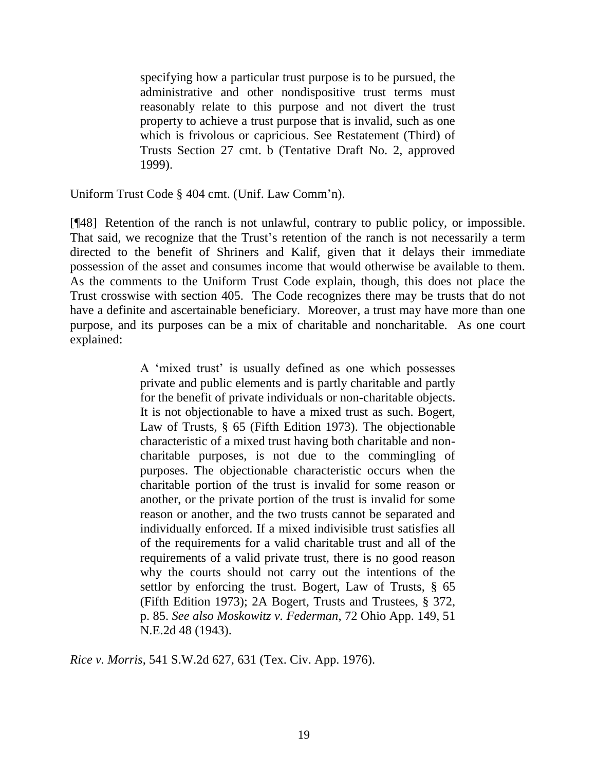specifying how a particular trust purpose is to be pursued, the administrative and other nondispositive trust terms must reasonably relate to this purpose and not divert the trust property to achieve a trust purpose that is invalid, such as one which is frivolous or capricious. See [Restatement \(Third\) of](http://www.westlaw.com/Link/Document/FullText?findType=Y&serNum=0291389112&pubNum=0121207&originatingDoc=N4C448740025811DD93B594B1C5A4C9CA&refType=TS&originationContext=document&vr=3.0&rs=cblt1.0&transitionType=DocumentItem&contextData=(sc.Keycite))  [Trusts Section 27](http://www.westlaw.com/Link/Document/FullText?findType=Y&serNum=0291389112&pubNum=0121207&originatingDoc=N4C448740025811DD93B594B1C5A4C9CA&refType=TS&originationContext=document&vr=3.0&rs=cblt1.0&transitionType=DocumentItem&contextData=(sc.Keycite)) cmt. b (Tentative Draft No. 2, approved 1999).

Uniform Trust Code § 404 cmt. (Unif. Law Comm'n).

[¶48] Retention of the ranch is not unlawful, contrary to public policy, or impossible. That said, we recognize that the Trust's retention of the ranch is not necessarily a term directed to the benefit of Shriners and Kalif, given that it delays their immediate possession of the asset and consumes income that would otherwise be available to them. As the comments to the Uniform Trust Code explain, though, this does not place the Trust crosswise with section 405. The Code recognizes there may be trusts that do not have a definite and ascertainable beneficiary. Moreover, a trust may have more than one purpose, and its purposes can be a mix of charitable and noncharitable. As one court explained:

> A 'mixed trust' is usually defined as one which possesses private and public elements and is partly charitable and partly for the benefit of private individuals or non-charitable objects. It is not objectionable to have a mixed trust as such. Bogert, Law of Trusts, § 65 (Fifth Edition 1973). The objectionable characteristic of a mixed trust having both charitable and noncharitable purposes, is not due to the commingling of purposes. The objectionable characteristic occurs when the charitable portion of the trust is invalid for some reason or another, or the private portion of the trust is invalid for some reason or another, and the two trusts cannot be separated and individually enforced. If a mixed indivisible trust satisfies all of the requirements for a valid charitable trust and all of the requirements of a valid private trust, there is no good reason why the courts should not carry out the intentions of the settlor by enforcing the trust. Bogert, Law of Trusts, § 65 (Fifth Edition 1973); 2A Bogert, Trusts and Trustees, § 372, p. 85. *See also [Moskowitz v. Federman](http://www.westlaw.com/Link/Document/FullText?findType=Y&serNum=1943108576&pubNum=578&originatingDoc=I7faf55bcec7b11d9bf60c1d57ebc853e&refType=RP&originationContext=document&vr=3.0&rs=cblt1.0&transitionType=DocumentItem&contextData=(sc.Search))*, 72 Ohio App. 149, 51 [N.E.2d 48 \(1943\).](http://www.westlaw.com/Link/Document/FullText?findType=Y&serNum=1943108576&pubNum=578&originatingDoc=I7faf55bcec7b11d9bf60c1d57ebc853e&refType=RP&originationContext=document&vr=3.0&rs=cblt1.0&transitionType=DocumentItem&contextData=(sc.Search))

*Rice v. Morris*, 541 S.W.2d 627, 631 (Tex. Civ. App. 1976).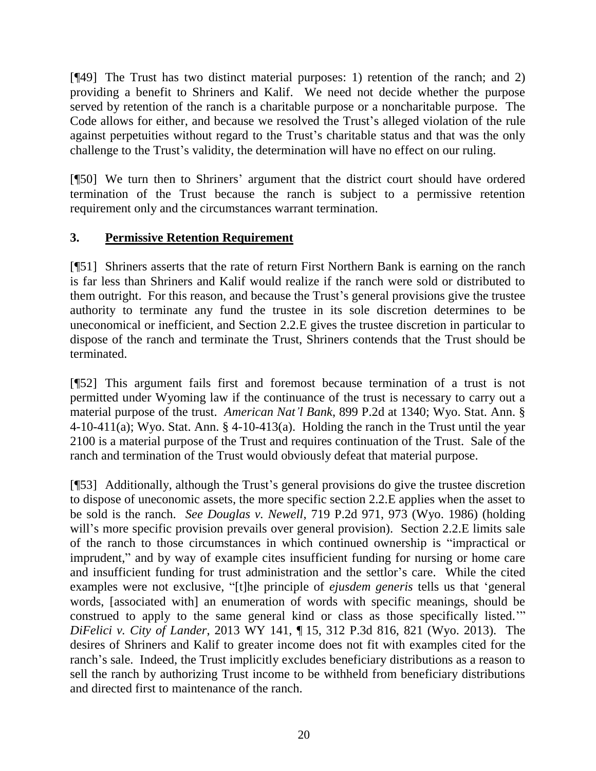[¶49] The Trust has two distinct material purposes: 1) retention of the ranch; and 2) providing a benefit to Shriners and Kalif. We need not decide whether the purpose served by retention of the ranch is a charitable purpose or a noncharitable purpose. The Code allows for either, and because we resolved the Trust's alleged violation of the rule against perpetuities without regard to the Trust's charitable status and that was the only challenge to the Trust's validity, the determination will have no effect on our ruling.

[¶50] We turn then to Shriners' argument that the district court should have ordered termination of the Trust because the ranch is subject to a permissive retention requirement only and the circumstances warrant termination.

### **3. Permissive Retention Requirement**

[¶51] Shriners asserts that the rate of return First Northern Bank is earning on the ranch is far less than Shriners and Kalif would realize if the ranch were sold or distributed to them outright. For this reason, and because the Trust's general provisions give the trustee authority to terminate any fund the trustee in its sole discretion determines to be uneconomical or inefficient, and Section 2.2.E gives the trustee discretion in particular to dispose of the ranch and terminate the Trust, Shriners contends that the Trust should be terminated.

[¶52] This argument fails first and foremost because termination of a trust is not permitted under Wyoming law if the continuance of the trust is necessary to carry out a material purpose of the trust. *American Nat'l Bank*, 899 P.2d at 1340; Wyo. Stat. Ann. § 4-10-411(a); Wyo. Stat. Ann.  $\S$  4-10-413(a). Holding the ranch in the Trust until the year 2100 is a material purpose of the Trust and requires continuation of the Trust. Sale of the ranch and termination of the Trust would obviously defeat that material purpose.

[¶53] Additionally, although the Trust's general provisions do give the trustee discretion to dispose of uneconomic assets, the more specific section 2.2.E applies when the asset to be sold is the ranch. *See Douglas v. Newell*, 719 P.2d 971, 973 (Wyo. 1986) (holding will's more specific provision prevails over general provision). Section 2.2. E limits sale of the ranch to those circumstances in which continued ownership is "impractical or imprudent," and by way of example cites insufficient funding for nursing or home care and insufficient funding for trust administration and the settlor's care. While the cited examples were not exclusive, "[t]he principle of *ejusdem generis* tells us that 'general words, [associated with] an enumeration of words with specific meanings, should be construed to apply to the same general kind or class as those specifically listed.'" *DiFelici v. City of Lander*, 2013 WY 141, ¶ 15, 312 P.3d 816, 821 (Wyo. 2013). The desires of Shriners and Kalif to greater income does not fit with examples cited for the ranch's sale. Indeed, the Trust implicitly excludes beneficiary distributions as a reason to sell the ranch by authorizing Trust income to be withheld from beneficiary distributions and directed first to maintenance of the ranch.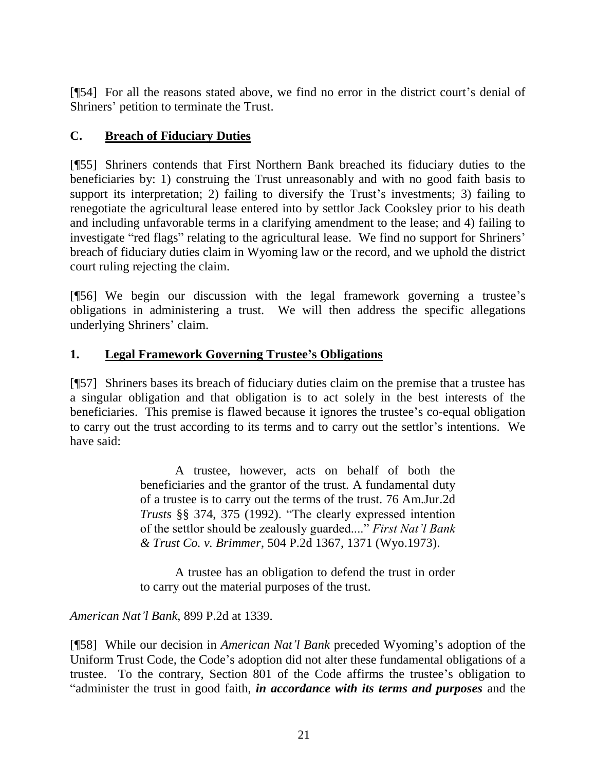[¶54] For all the reasons stated above, we find no error in the district court's denial of Shriners' petition to terminate the Trust.

### **C. Breach of Fiduciary Duties**

[¶55] Shriners contends that First Northern Bank breached its fiduciary duties to the beneficiaries by: 1) construing the Trust unreasonably and with no good faith basis to support its interpretation; 2) failing to diversify the Trust's investments; 3) failing to renegotiate the agricultural lease entered into by settlor Jack Cooksley prior to his death and including unfavorable terms in a clarifying amendment to the lease; and 4) failing to investigate "red flags" relating to the agricultural lease. We find no support for Shriners' breach of fiduciary duties claim in Wyoming law or the record, and we uphold the district court ruling rejecting the claim.

[¶56] We begin our discussion with the legal framework governing a trustee's obligations in administering a trust. We will then address the specific allegations underlying Shriners' claim.

### **1. Legal Framework Governing Trustee's Obligations**

[¶57] Shriners bases its breach of fiduciary duties claim on the premise that a trustee has a singular obligation and that obligation is to act solely in the best interests of the beneficiaries. This premise is flawed because it ignores the trustee's co-equal obligation to carry out the trust according to its terms and to carry out the settlor's intentions. We have said:

> A trustee, however, acts on behalf of both the beneficiaries and the grantor of the trust. A fundamental duty of a trustee is to carry out the terms of the trust. [76 Am.Jur.2d](http://www.westlaw.com/Link/Document/FullText?findType=Y&serNum=0281520248&pubNum=0113749&originatingDoc=Ic47d735df58d11d9b386b232635db992&refType=TS&originationContext=document&vr=3.0&rs=cblt1.0&transitionType=DocumentItem&contextData=(sc.UserEnteredCitation)) *Trusts* [§§ 374,](http://www.westlaw.com/Link/Document/FullText?findType=Y&serNum=0281520248&pubNum=0113749&originatingDoc=Ic47d735df58d11d9b386b232635db992&refType=TS&originationContext=document&vr=3.0&rs=cblt1.0&transitionType=DocumentItem&contextData=(sc.UserEnteredCitation)) [375 \(1992\).](http://www.westlaw.com/Link/Document/FullText?findType=Y&serNum=0281520249&pubNum=0113749&originatingDoc=Ic47d735df58d11d9b386b232635db992&refType=TS&originationContext=document&vr=3.0&rs=cblt1.0&transitionType=DocumentItem&contextData=(sc.UserEnteredCitation)) "The clearly expressed intention of the settlor should be zealously guarded...." *[First Nat'l Bank](http://www.westlaw.com/Link/Document/FullText?findType=Y&serNum=1973121732&pubNum=661&originatingDoc=Ic47d735df58d11d9b386b232635db992&refType=RP&fi=co_pp_sp_661_1371&originationContext=document&vr=3.0&rs=cblt1.0&transitionType=DocumentItem&contextData=(sc.UserEnteredCitation)#co_pp_sp_661_1371)  & Trust Co. v. Brimmer*[, 504 P.2d 1367, 1371 \(Wyo.1973\).](http://www.westlaw.com/Link/Document/FullText?findType=Y&serNum=1973121732&pubNum=661&originatingDoc=Ic47d735df58d11d9b386b232635db992&refType=RP&fi=co_pp_sp_661_1371&originationContext=document&vr=3.0&rs=cblt1.0&transitionType=DocumentItem&contextData=(sc.UserEnteredCitation)#co_pp_sp_661_1371)

> A trustee has an obligation to defend the trust in order to carry out the material purposes of the trust.

*American Nat'l Bank*, 899 P.2d at 1339.

[¶58] While our decision in *American Nat'l Bank* preceded Wyoming's adoption of the Uniform Trust Code, the Code's adoption did not alter these fundamental obligations of a trustee. To the contrary, Section 801 of the Code affirms the trustee's obligation to "administer the trust in good faith, *in accordance with its terms and purposes* and the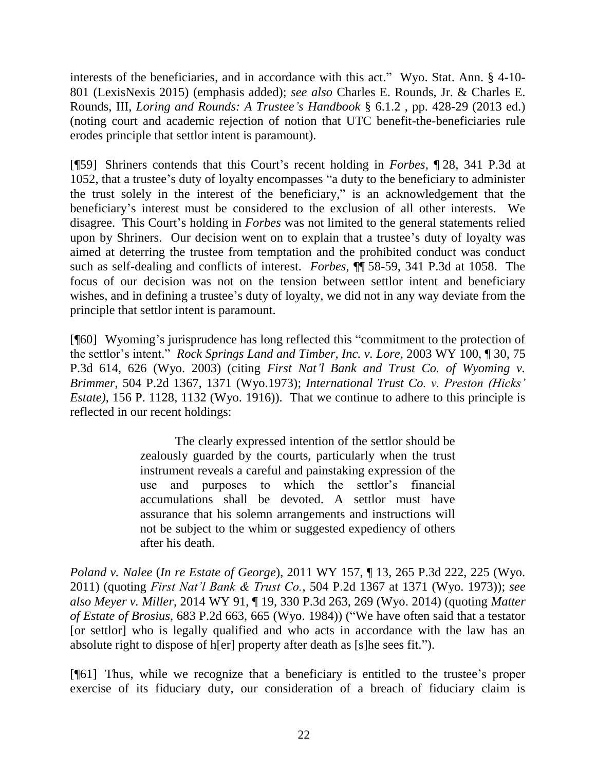interests of the beneficiaries, and in accordance with this act." Wyo. Stat. Ann. § 4-10- 801 (LexisNexis 2015) (emphasis added); *see also* Charles E. Rounds, Jr. & Charles E. Rounds, III, *Loring and Rounds: A Trustee's Handbook* § 6.1.2 , pp. 428-29 (2013 ed.) (noting court and academic rejection of notion that UTC benefit-the-beneficiaries rule erodes principle that settlor intent is paramount).

[¶59] Shriners contends that this Court's recent holding in *Forbes*, ¶ 28, 341 P.3d at 1052, that a trustee's duty of loyalty encompasses "a duty to the beneficiary to administer the trust solely in the interest of the beneficiary," is an acknowledgement that the beneficiary's interest must be considered to the exclusion of all other interests. We disagree. This Court's holding in *Forbes* was not limited to the general statements relied upon by Shriners. Our decision went on to explain that a trustee's duty of loyalty was aimed at deterring the trustee from temptation and the prohibited conduct was conduct such as self-dealing and conflicts of interest. *Forbes*, ¶¶ 58-59, 341 P.3d at 1058. The focus of our decision was not on the tension between settlor intent and beneficiary wishes, and in defining a trustee's duty of loyalty, we did not in any way deviate from the principle that settlor intent is paramount.

[¶60] Wyoming's jurisprudence has long reflected this "commitment to the protection of the settlor's intent." *Rock Springs Land and Timber, Inc. v. Lore*, 2003 WY 100, ¶ 30, 75 P.3d 614, 626 (Wyo. 2003) (citing *[First Nat'l Bank and Trust Co. of Wyoming v.](http://www.westlaw.com/Link/Document/FullText?findType=Y&serNum=1973121732&pubNum=661&originatingDoc=Iaf3db9ccf5a411d9b386b232635db992&refType=RP&fi=co_pp_sp_661_1371&originationContext=document&vr=3.0&rs=cblt1.0&transitionType=DocumentItem&contextData=(sc.UserEnteredCitation)#co_pp_sp_661_1371)  Brimmer*[, 504 P.2d 1367, 1371 \(Wyo.1973\);](http://www.westlaw.com/Link/Document/FullText?findType=Y&serNum=1973121732&pubNum=661&originatingDoc=Iaf3db9ccf5a411d9b386b232635db992&refType=RP&fi=co_pp_sp_661_1371&originationContext=document&vr=3.0&rs=cblt1.0&transitionType=DocumentItem&contextData=(sc.UserEnteredCitation)#co_pp_sp_661_1371) *[International Trust Co. v. Preston \(Hicks'](http://www.westlaw.com/Link/Document/FullText?findType=Y&serNum=1916025121&pubNum=660&originatingDoc=Iaf3db9ccf5a411d9b386b232635db992&refType=RP&originationContext=document&vr=3.0&rs=cblt1.0&transitionType=DocumentItem&contextData=(sc.UserEnteredCitation))  Estate)*[, 156 P. 1128, 1132](http://www.westlaw.com/Link/Document/FullText?findType=Y&serNum=1916025121&pubNum=660&originatingDoc=Iaf3db9ccf5a411d9b386b232635db992&refType=RP&originationContext=document&vr=3.0&rs=cblt1.0&transitionType=DocumentItem&contextData=(sc.UserEnteredCitation)) (Wyo. 1916)). That we continue to adhere to this principle is reflected in our recent holdings:

> The clearly expressed intention of the settlor should be zealously guarded by the courts, particularly when the trust instrument reveals a careful and painstaking expression of the use and purposes to which the settlor's financial accumulations shall be devoted. A settlor must have assurance that his solemn arrangements and instructions will not be subject to the whim or suggested expediency of others after his death.

*Poland v. Nalee* (*In re Estate of George*), 2011 WY 157, ¶ 13, 265 P.3d 222, 225 (Wyo. 2011) (quoting *[First Nat'l Bank & Trust Co.](http://www.westlaw.com/Link/Document/FullText?findType=Y&serNum=1973121732&pubNum=0000661&originatingDoc=I946d9cb0112111e19552c1f5e5d07b6a&refType=RP&fi=co_pp_sp_661_1369&originationContext=document&vr=3.0&rs=cblt1.0&transitionType=DocumentItem&contextData=(sc.UserEnteredCitation)#co_pp_sp_661_1369)*, 504 P.2d 1367 at 1371 (Wyo. 1973)); *see also Meyer v. Miller*, 2014 WY 91, ¶ 19, 330 P.3d 263, 269 (Wyo. 2014) (quoting *[Matter](http://www.westlaw.com/Link/Document/FullText?findType=Y&serNum=1984133854&pubNum=0000661&originatingDoc=Id25932df11a311e4b86bd602cb8781fa&refType=RP&fi=co_pp_sp_661_665&originationContext=document&vr=3.0&rs=cblt1.0&transitionType=DocumentItem&contextData=(sc.UserEnteredCitation)#co_pp_sp_661_665)  of Estate of Brosius*[, 683 P.2d 663, 665 \(Wyo.](http://www.westlaw.com/Link/Document/FullText?findType=Y&serNum=1984133854&pubNum=0000661&originatingDoc=Id25932df11a311e4b86bd602cb8781fa&refType=RP&fi=co_pp_sp_661_665&originationContext=document&vr=3.0&rs=cblt1.0&transitionType=DocumentItem&contextData=(sc.UserEnteredCitation)#co_pp_sp_661_665) 1984)) ("We have often said that a testator [or settlor] who is legally qualified and who acts in accordance with the law has an absolute right to dispose of h[er] property after death as [s]he sees fit.").

[¶61] Thus, while we recognize that a beneficiary is entitled to the trustee's proper exercise of its fiduciary duty, our consideration of a breach of fiduciary claim is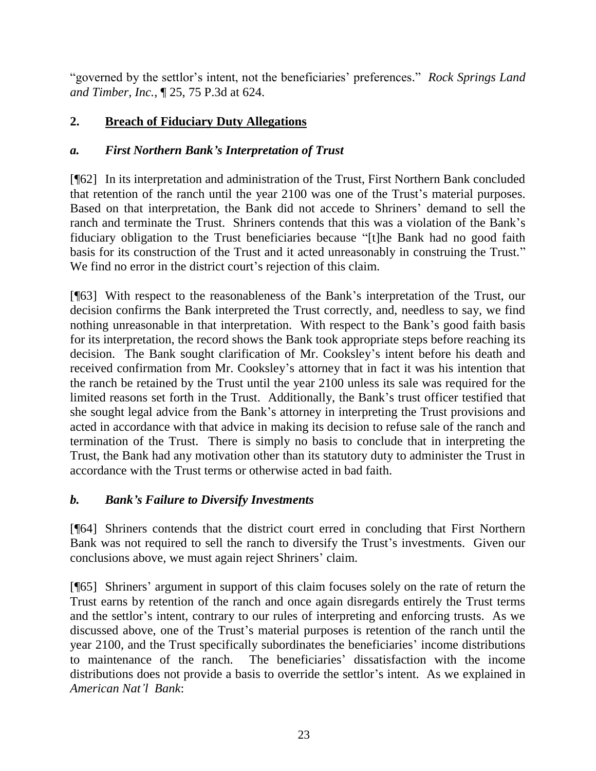"governed by the settlor's intent, not the beneficiaries' preferences." *Rock Springs Land and Timber, Inc.*, ¶ 25, 75 P.3d at 624.

### **2. Breach of Fiduciary Duty Allegations**

### *a. First Northern Bank's Interpretation of Trust*

[¶62] In its interpretation and administration of the Trust, First Northern Bank concluded that retention of the ranch until the year 2100 was one of the Trust's material purposes. Based on that interpretation, the Bank did not accede to Shriners' demand to sell the ranch and terminate the Trust. Shriners contends that this was a violation of the Bank's fiduciary obligation to the Trust beneficiaries because "[t]he Bank had no good faith basis for its construction of the Trust and it acted unreasonably in construing the Trust." We find no error in the district court's rejection of this claim.

[¶63] With respect to the reasonableness of the Bank's interpretation of the Trust, our decision confirms the Bank interpreted the Trust correctly, and, needless to say, we find nothing unreasonable in that interpretation. With respect to the Bank's good faith basis for its interpretation, the record shows the Bank took appropriate steps before reaching its decision. The Bank sought clarification of Mr. Cooksley's intent before his death and received confirmation from Mr. Cooksley's attorney that in fact it was his intention that the ranch be retained by the Trust until the year 2100 unless its sale was required for the limited reasons set forth in the Trust. Additionally, the Bank's trust officer testified that she sought legal advice from the Bank's attorney in interpreting the Trust provisions and acted in accordance with that advice in making its decision to refuse sale of the ranch and termination of the Trust. There is simply no basis to conclude that in interpreting the Trust, the Bank had any motivation other than its statutory duty to administer the Trust in accordance with the Trust terms or otherwise acted in bad faith.

### *b. Bank's Failure to Diversify Investments*

[¶64] Shriners contends that the district court erred in concluding that First Northern Bank was not required to sell the ranch to diversify the Trust's investments. Given our conclusions above, we must again reject Shriners' claim.

[¶65] Shriners' argument in support of this claim focuses solely on the rate of return the Trust earns by retention of the ranch and once again disregards entirely the Trust terms and the settlor's intent, contrary to our rules of interpreting and enforcing trusts. As we discussed above, one of the Trust's material purposes is retention of the ranch until the year 2100, and the Trust specifically subordinates the beneficiaries' income distributions to maintenance of the ranch. The beneficiaries' dissatisfaction with the income distributions does not provide a basis to override the settlor's intent. As we explained in *American Nat'l Bank*: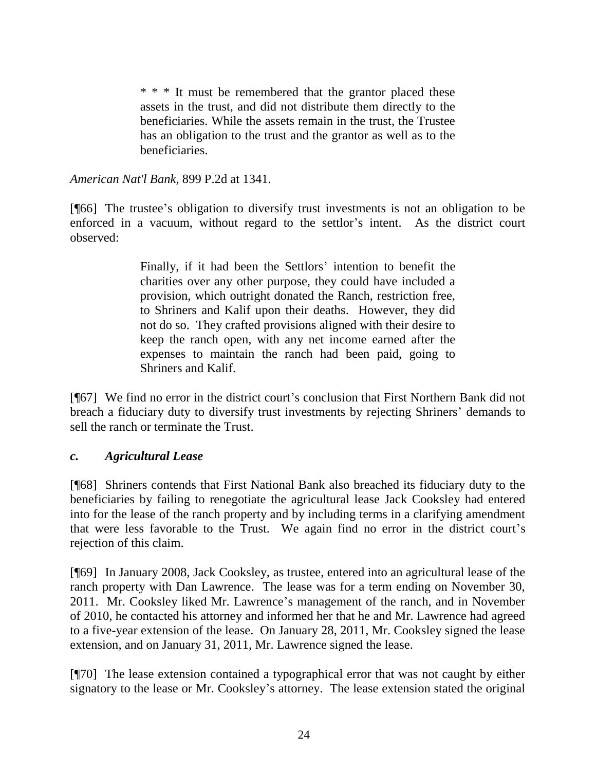\* \* \* It must be remembered that the grantor placed these assets in the trust, and did not distribute them directly to the beneficiaries. While the assets remain in the trust, the Trustee has an obligation to the trust and the grantor as well as to the beneficiaries.

*American Nat'l Bank*, 899 P.2d at 1341.

[¶66] The trustee's obligation to diversify trust investments is not an obligation to be enforced in a vacuum, without regard to the settlor's intent. As the district court observed:

> Finally, if it had been the Settlors' intention to benefit the charities over any other purpose, they could have included a provision, which outright donated the Ranch, restriction free, to Shriners and Kalif upon their deaths. However, they did not do so. They crafted provisions aligned with their desire to keep the ranch open, with any net income earned after the expenses to maintain the ranch had been paid, going to Shriners and Kalif.

[¶67] We find no error in the district court's conclusion that First Northern Bank did not breach a fiduciary duty to diversify trust investments by rejecting Shriners' demands to sell the ranch or terminate the Trust.

#### *c. Agricultural Lease*

[¶68] Shriners contends that First National Bank also breached its fiduciary duty to the beneficiaries by failing to renegotiate the agricultural lease Jack Cooksley had entered into for the lease of the ranch property and by including terms in a clarifying amendment that were less favorable to the Trust. We again find no error in the district court's rejection of this claim.

[¶69] In January 2008, Jack Cooksley, as trustee, entered into an agricultural lease of the ranch property with Dan Lawrence. The lease was for a term ending on November 30, 2011. Mr. Cooksley liked Mr. Lawrence's management of the ranch, and in November of 2010, he contacted his attorney and informed her that he and Mr. Lawrence had agreed to a five-year extension of the lease. On January 28, 2011, Mr. Cooksley signed the lease extension, and on January 31, 2011, Mr. Lawrence signed the lease.

[¶70] The lease extension contained a typographical error that was not caught by either signatory to the lease or Mr. Cooksley's attorney. The lease extension stated the original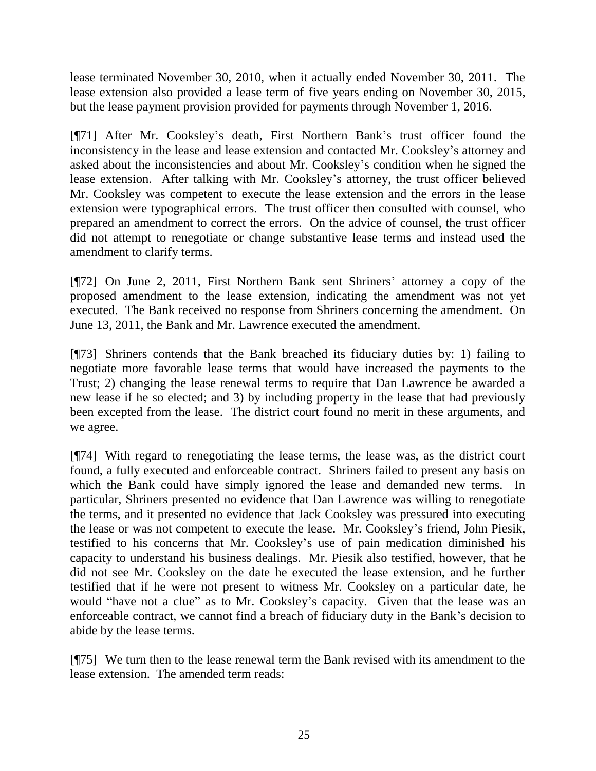lease terminated November 30, 2010, when it actually ended November 30, 2011. The lease extension also provided a lease term of five years ending on November 30, 2015, but the lease payment provision provided for payments through November 1, 2016.

[¶71] After Mr. Cooksley's death, First Northern Bank's trust officer found the inconsistency in the lease and lease extension and contacted Mr. Cooksley's attorney and asked about the inconsistencies and about Mr. Cooksley's condition when he signed the lease extension. After talking with Mr. Cooksley's attorney, the trust officer believed Mr. Cooksley was competent to execute the lease extension and the errors in the lease extension were typographical errors. The trust officer then consulted with counsel, who prepared an amendment to correct the errors. On the advice of counsel, the trust officer did not attempt to renegotiate or change substantive lease terms and instead used the amendment to clarify terms.

[¶72] On June 2, 2011, First Northern Bank sent Shriners' attorney a copy of the proposed amendment to the lease extension, indicating the amendment was not yet executed. The Bank received no response from Shriners concerning the amendment. On June 13, 2011, the Bank and Mr. Lawrence executed the amendment.

[¶73] Shriners contends that the Bank breached its fiduciary duties by: 1) failing to negotiate more favorable lease terms that would have increased the payments to the Trust; 2) changing the lease renewal terms to require that Dan Lawrence be awarded a new lease if he so elected; and 3) by including property in the lease that had previously been excepted from the lease. The district court found no merit in these arguments, and we agree.

[¶74] With regard to renegotiating the lease terms, the lease was, as the district court found, a fully executed and enforceable contract. Shriners failed to present any basis on which the Bank could have simply ignored the lease and demanded new terms. In particular, Shriners presented no evidence that Dan Lawrence was willing to renegotiate the terms, and it presented no evidence that Jack Cooksley was pressured into executing the lease or was not competent to execute the lease. Mr. Cooksley's friend, John Piesik, testified to his concerns that Mr. Cooksley's use of pain medication diminished his capacity to understand his business dealings. Mr. Piesik also testified, however, that he did not see Mr. Cooksley on the date he executed the lease extension, and he further testified that if he were not present to witness Mr. Cooksley on a particular date, he would "have not a clue" as to Mr. Cooksley's capacity. Given that the lease was an enforceable contract, we cannot find a breach of fiduciary duty in the Bank's decision to abide by the lease terms.

[¶75] We turn then to the lease renewal term the Bank revised with its amendment to the lease extension. The amended term reads: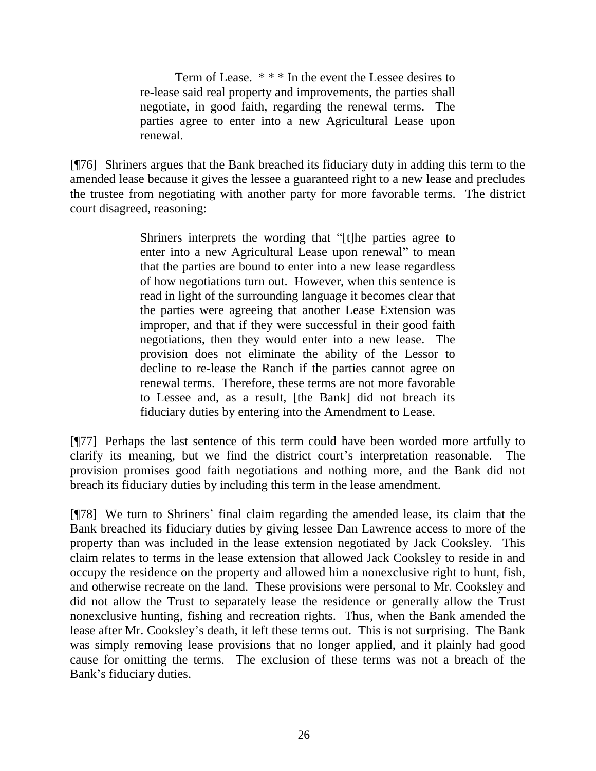Term of Lease. \* \* \* In the event the Lessee desires to re-lease said real property and improvements, the parties shall negotiate, in good faith, regarding the renewal terms. The parties agree to enter into a new Agricultural Lease upon renewal.

[¶76] Shriners argues that the Bank breached its fiduciary duty in adding this term to the amended lease because it gives the lessee a guaranteed right to a new lease and precludes the trustee from negotiating with another party for more favorable terms. The district court disagreed, reasoning:

> Shriners interprets the wording that "[t]he parties agree to enter into a new Agricultural Lease upon renewal" to mean that the parties are bound to enter into a new lease regardless of how negotiations turn out. However, when this sentence is read in light of the surrounding language it becomes clear that the parties were agreeing that another Lease Extension was improper, and that if they were successful in their good faith negotiations, then they would enter into a new lease. The provision does not eliminate the ability of the Lessor to decline to re-lease the Ranch if the parties cannot agree on renewal terms. Therefore, these terms are not more favorable to Lessee and, as a result, [the Bank] did not breach its fiduciary duties by entering into the Amendment to Lease.

[¶77] Perhaps the last sentence of this term could have been worded more artfully to clarify its meaning, but we find the district court's interpretation reasonable. The provision promises good faith negotiations and nothing more, and the Bank did not breach its fiduciary duties by including this term in the lease amendment.

[¶78] We turn to Shriners' final claim regarding the amended lease, its claim that the Bank breached its fiduciary duties by giving lessee Dan Lawrence access to more of the property than was included in the lease extension negotiated by Jack Cooksley. This claim relates to terms in the lease extension that allowed Jack Cooksley to reside in and occupy the residence on the property and allowed him a nonexclusive right to hunt, fish, and otherwise recreate on the land. These provisions were personal to Mr. Cooksley and did not allow the Trust to separately lease the residence or generally allow the Trust nonexclusive hunting, fishing and recreation rights. Thus, when the Bank amended the lease after Mr. Cooksley's death, it left these terms out. This is not surprising. The Bank was simply removing lease provisions that no longer applied, and it plainly had good cause for omitting the terms. The exclusion of these terms was not a breach of the Bank's fiduciary duties.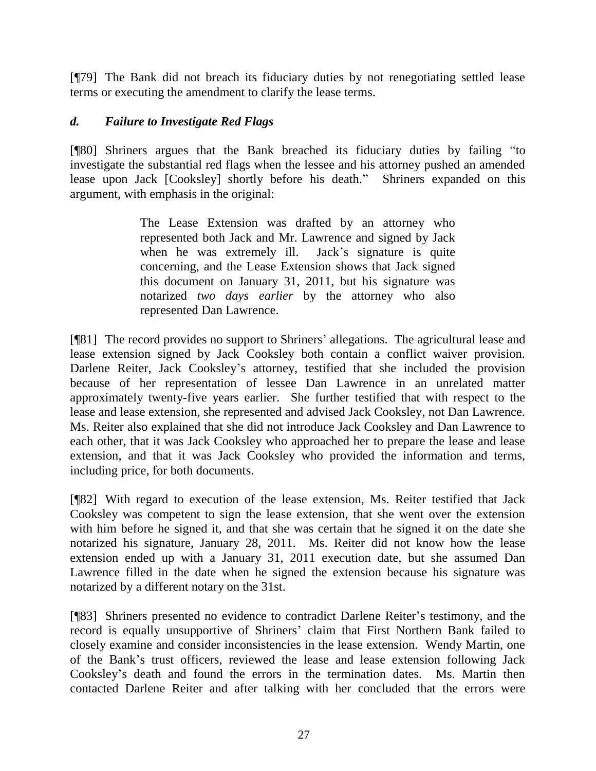[¶79] The Bank did not breach its fiduciary duties by not renegotiating settled lease terms or executing the amendment to clarify the lease terms.

### *d. Failure to Investigate Red Flags*

[¶80] Shriners argues that the Bank breached its fiduciary duties by failing "to investigate the substantial red flags when the lessee and his attorney pushed an amended lease upon Jack [Cooksley] shortly before his death." Shriners expanded on this argument, with emphasis in the original:

> The Lease Extension was drafted by an attorney who represented both Jack and Mr. Lawrence and signed by Jack when he was extremely ill. Jack's signature is quite concerning, and the Lease Extension shows that Jack signed this document on January 31, 2011, but his signature was notarized *two days earlier* by the attorney who also represented Dan Lawrence.

[¶81] The record provides no support to Shriners' allegations. The agricultural lease and lease extension signed by Jack Cooksley both contain a conflict waiver provision. Darlene Reiter, Jack Cooksley's attorney, testified that she included the provision because of her representation of lessee Dan Lawrence in an unrelated matter approximately twenty-five years earlier. She further testified that with respect to the lease and lease extension, she represented and advised Jack Cooksley, not Dan Lawrence. Ms. Reiter also explained that she did not introduce Jack Cooksley and Dan Lawrence to each other, that it was Jack Cooksley who approached her to prepare the lease and lease extension, and that it was Jack Cooksley who provided the information and terms, including price, for both documents.

[¶82] With regard to execution of the lease extension, Ms. Reiter testified that Jack Cooksley was competent to sign the lease extension, that she went over the extension with him before he signed it, and that she was certain that he signed it on the date she notarized his signature, January 28, 2011. Ms. Reiter did not know how the lease extension ended up with a January 31, 2011 execution date, but she assumed Dan Lawrence filled in the date when he signed the extension because his signature was notarized by a different notary on the 31st.

[¶83] Shriners presented no evidence to contradict Darlene Reiter's testimony, and the record is equally unsupportive of Shriners' claim that First Northern Bank failed to closely examine and consider inconsistencies in the lease extension. Wendy Martin, one of the Bank's trust officers, reviewed the lease and lease extension following Jack Cooksley's death and found the errors in the termination dates. Ms. Martin then contacted Darlene Reiter and after talking with her concluded that the errors were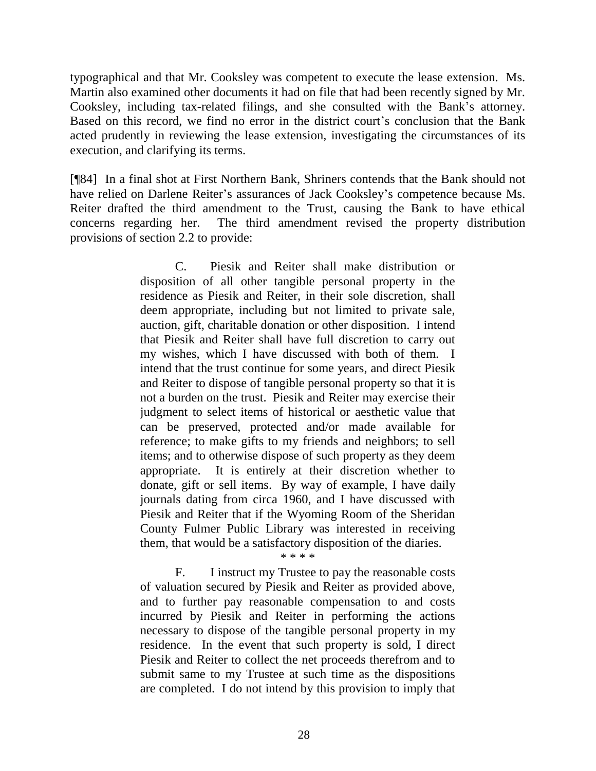typographical and that Mr. Cooksley was competent to execute the lease extension. Ms. Martin also examined other documents it had on file that had been recently signed by Mr. Cooksley, including tax-related filings, and she consulted with the Bank's attorney. Based on this record, we find no error in the district court's conclusion that the Bank acted prudently in reviewing the lease extension, investigating the circumstances of its execution, and clarifying its terms.

[¶84] In a final shot at First Northern Bank, Shriners contends that the Bank should not have relied on Darlene Reiter's assurances of Jack Cooksley's competence because Ms. Reiter drafted the third amendment to the Trust, causing the Bank to have ethical concerns regarding her. The third amendment revised the property distribution provisions of section 2.2 to provide:

> C. Piesik and Reiter shall make distribution or disposition of all other tangible personal property in the residence as Piesik and Reiter, in their sole discretion, shall deem appropriate, including but not limited to private sale, auction, gift, charitable donation or other disposition. I intend that Piesik and Reiter shall have full discretion to carry out my wishes, which I have discussed with both of them. I intend that the trust continue for some years, and direct Piesik and Reiter to dispose of tangible personal property so that it is not a burden on the trust. Piesik and Reiter may exercise their judgment to select items of historical or aesthetic value that can be preserved, protected and/or made available for reference; to make gifts to my friends and neighbors; to sell items; and to otherwise dispose of such property as they deem appropriate. It is entirely at their discretion whether to donate, gift or sell items. By way of example, I have daily journals dating from circa 1960, and I have discussed with Piesik and Reiter that if the Wyoming Room of the Sheridan County Fulmer Public Library was interested in receiving them, that would be a satisfactory disposition of the diaries.

#### \* \* \* \*

F. I instruct my Trustee to pay the reasonable costs of valuation secured by Piesik and Reiter as provided above, and to further pay reasonable compensation to and costs incurred by Piesik and Reiter in performing the actions necessary to dispose of the tangible personal property in my residence. In the event that such property is sold, I direct Piesik and Reiter to collect the net proceeds therefrom and to submit same to my Trustee at such time as the dispositions are completed. I do not intend by this provision to imply that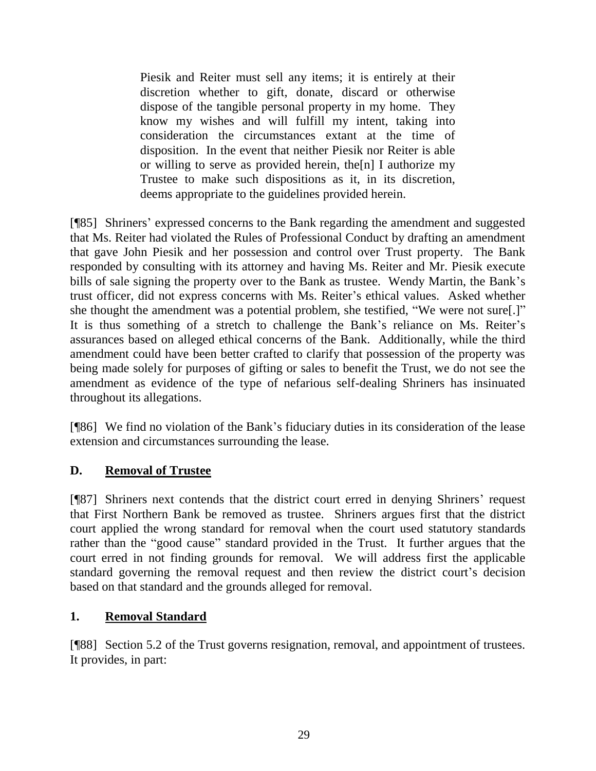Piesik and Reiter must sell any items; it is entirely at their discretion whether to gift, donate, discard or otherwise dispose of the tangible personal property in my home. They know my wishes and will fulfill my intent, taking into consideration the circumstances extant at the time of disposition. In the event that neither Piesik nor Reiter is able or willing to serve as provided herein, the [n] I authorize my Trustee to make such dispositions as it, in its discretion, deems appropriate to the guidelines provided herein.

[¶85] Shriners' expressed concerns to the Bank regarding the amendment and suggested that Ms. Reiter had violated the Rules of Professional Conduct by drafting an amendment that gave John Piesik and her possession and control over Trust property. The Bank responded by consulting with its attorney and having Ms. Reiter and Mr. Piesik execute bills of sale signing the property over to the Bank as trustee. Wendy Martin, the Bank's trust officer, did not express concerns with Ms. Reiter's ethical values. Asked whether she thought the amendment was a potential problem, she testified, "We were not sure[.]" It is thus something of a stretch to challenge the Bank's reliance on Ms. Reiter's assurances based on alleged ethical concerns of the Bank. Additionally, while the third amendment could have been better crafted to clarify that possession of the property was being made solely for purposes of gifting or sales to benefit the Trust, we do not see the amendment as evidence of the type of nefarious self-dealing Shriners has insinuated throughout its allegations.

[¶86] We find no violation of the Bank's fiduciary duties in its consideration of the lease extension and circumstances surrounding the lease.

### **D. Removal of Trustee**

[¶87] Shriners next contends that the district court erred in denying Shriners' request that First Northern Bank be removed as trustee. Shriners argues first that the district court applied the wrong standard for removal when the court used statutory standards rather than the "good cause" standard provided in the Trust. It further argues that the court erred in not finding grounds for removal. We will address first the applicable standard governing the removal request and then review the district court's decision based on that standard and the grounds alleged for removal.

#### **1. Removal Standard**

[¶88] Section 5.2 of the Trust governs resignation, removal, and appointment of trustees. It provides, in part: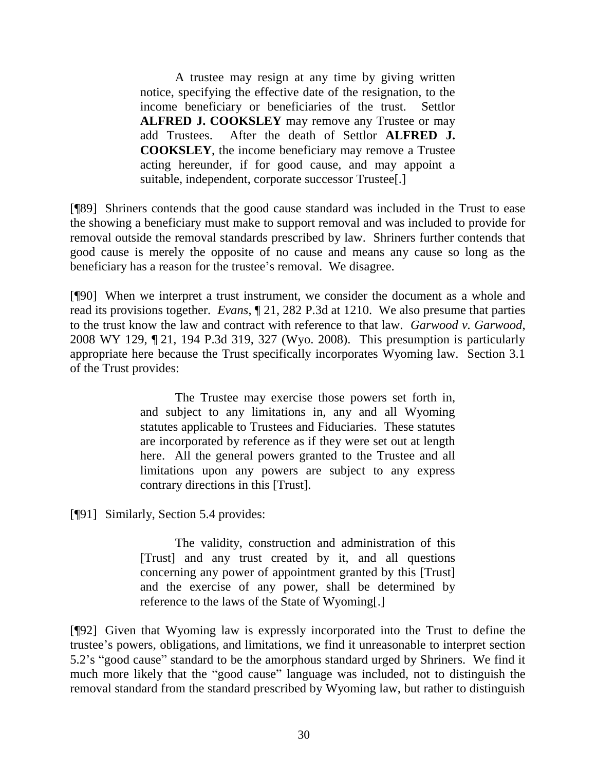A trustee may resign at any time by giving written notice, specifying the effective date of the resignation, to the income beneficiary or beneficiaries of the trust. Settlor **ALFRED J. COOKSLEY** may remove any Trustee or may add Trustees. After the death of Settlor **ALFRED J. COOKSLEY**, the income beneficiary may remove a Trustee acting hereunder, if for good cause, and may appoint a suitable, independent, corporate successor Trustee[.]

[¶89] Shriners contends that the good cause standard was included in the Trust to ease the showing a beneficiary must make to support removal and was included to provide for removal outside the removal standards prescribed by law. Shriners further contends that good cause is merely the opposite of no cause and means any cause so long as the beneficiary has a reason for the trustee's removal. We disagree.

[¶90] When we interpret a trust instrument, we consider the document as a whole and read its provisions together. *Evans*, ¶ 21, 282 P.3d at 1210. We also presume that parties to the trust know the law and contract with reference to that law. *Garwood v. Garwood*, 2008 WY 129, ¶ 21, 194 P.3d 319, 327 (Wyo. 2008). This presumption is particularly appropriate here because the Trust specifically incorporates Wyoming law. Section 3.1 of the Trust provides:

> The Trustee may exercise those powers set forth in, and subject to any limitations in, any and all Wyoming statutes applicable to Trustees and Fiduciaries. These statutes are incorporated by reference as if they were set out at length here. All the general powers granted to the Trustee and all limitations upon any powers are subject to any express contrary directions in this [Trust].

[¶91] Similarly, Section 5.4 provides:

The validity, construction and administration of this [Trust] and any trust created by it, and all questions concerning any power of appointment granted by this [Trust] and the exercise of any power, shall be determined by reference to the laws of the State of Wyoming[.]

[¶92] Given that Wyoming law is expressly incorporated into the Trust to define the trustee's powers, obligations, and limitations, we find it unreasonable to interpret section 5.2's "good cause" standard to be the amorphous standard urged by Shriners. We find it much more likely that the "good cause" language was included, not to distinguish the removal standard from the standard prescribed by Wyoming law, but rather to distinguish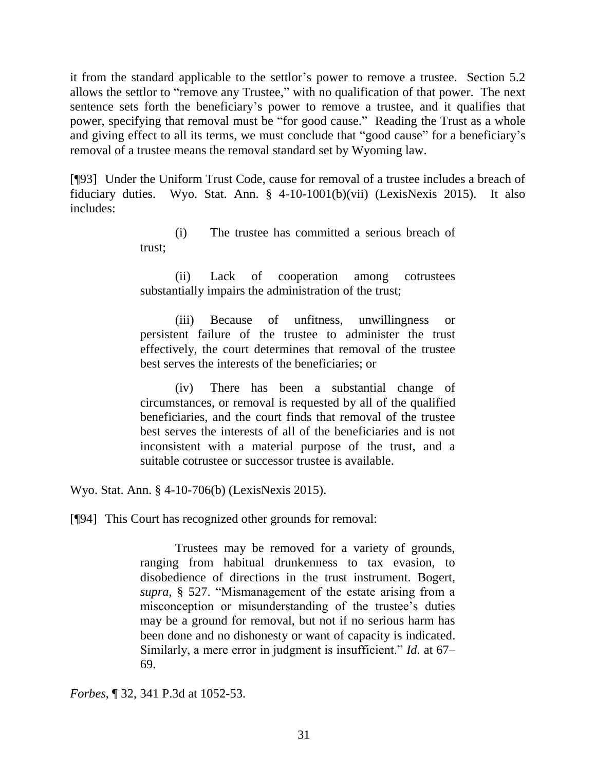it from the standard applicable to the settlor's power to remove a trustee. Section 5.2 allows the settlor to "remove any Trustee," with no qualification of that power. The next sentence sets forth the beneficiary's power to remove a trustee, and it qualifies that power, specifying that removal must be "for good cause." Reading the Trust as a whole and giving effect to all its terms, we must conclude that "good cause" for a beneficiary's removal of a trustee means the removal standard set by Wyoming law.

[¶93] Under the Uniform Trust Code, cause for removal of a trustee includes a breach of fiduciary duties. Wyo. Stat. Ann. § 4-10-1001(b)(vii) (LexisNexis 2015). It also includes:

> (i) The trustee has committed a serious breach of trust;

> (ii) Lack of cooperation among cotrustees substantially impairs the administration of the trust;

> (iii) Because of unfitness, unwillingness or persistent failure of the trustee to administer the trust effectively, the court determines that removal of the trustee best serves the interests of the beneficiaries; or

> (iv) There has been a substantial change of circumstances, or removal is requested by all of the qualified beneficiaries, and the court finds that removal of the trustee best serves the interests of all of the beneficiaries and is not inconsistent with a material purpose of the trust, and a suitable cotrustee or successor trustee is available.

Wyo. Stat. Ann. § 4-10-706(b) (LexisNexis 2015).

[¶94] This Court has recognized other grounds for removal:

Trustees may be removed for a variety of grounds, ranging from habitual drunkenness to tax evasion, to disobedience of directions in the trust instrument. [Bogert,](http://www.westlaw.com/Link/Document/FullText?findType=Y&serNum=0112569370&pubNum=0119605&originatingDoc=I6b4d41e9a50211e4b86bd602cb8781fa&refType=TS&originationContext=document&vr=3.0&rs=cblt1.0&transitionType=DocumentItem&contextData=(sc.UserEnteredCitation))  *supra*[, § 527.](http://www.westlaw.com/Link/Document/FullText?findType=Y&serNum=0112569370&pubNum=0119605&originatingDoc=I6b4d41e9a50211e4b86bd602cb8781fa&refType=TS&originationContext=document&vr=3.0&rs=cblt1.0&transitionType=DocumentItem&contextData=(sc.UserEnteredCitation)) "Mismanagement of the estate arising from a misconception or misunderstanding of the trustee's duties may be a ground for removal, but not if no serious harm has been done and no dishonesty or want of capacity is indicated. Similarly, a mere error in judgment is insufficient." *Id*. at 67– 69.

*Forbes*, ¶ 32, 341 P.3d at 1052-53.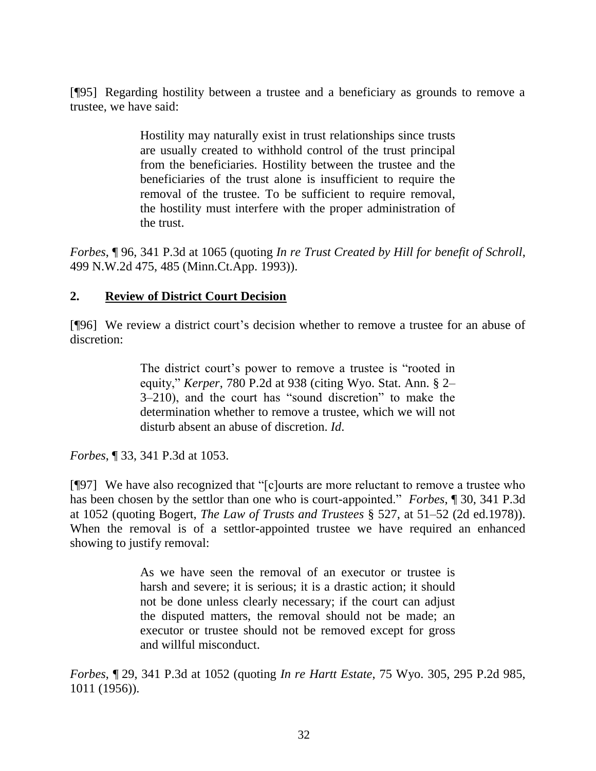[¶95] Regarding hostility between a trustee and a beneficiary as grounds to remove a trustee, we have said:

> Hostility may naturally exist in trust relationships since trusts are usually created to withhold control of the trust principal from the beneficiaries. Hostility between the trustee and the beneficiaries of the trust alone is insufficient to require the removal of the trustee. To be sufficient to require removal, the hostility must interfere with the proper administration of the trust.

*Forbes*, ¶ 96, 341 P.3d at 1065 (quoting *[In re Trust Created by Hill for benefit of Schroll](http://www.westlaw.com/Link/Document/FullText?findType=Y&serNum=1993088702&pubNum=0000595&originatingDoc=I6b4d41e9a50211e4b86bd602cb8781fa&refType=RP&fi=co_pp_sp_595_485&originationContext=document&vr=3.0&rs=cblt1.0&transitionType=DocumentItem&contextData=(sc.UserEnteredCitation)#co_pp_sp_595_485)*, [499 N.W.2d 475, 485 \(Minn.Ct.App.](http://www.westlaw.com/Link/Document/FullText?findType=Y&serNum=1993088702&pubNum=0000595&originatingDoc=I6b4d41e9a50211e4b86bd602cb8781fa&refType=RP&fi=co_pp_sp_595_485&originationContext=document&vr=3.0&rs=cblt1.0&transitionType=DocumentItem&contextData=(sc.UserEnteredCitation)#co_pp_sp_595_485) 1993)).

#### **2. Review of District Court Decision**

[¶96] We review a district court's decision whether to remove a trustee for an abuse of discretion:

> The district court's power to remove a trustee is "rooted in equity," *Kerper*[, 780 P.2d at 938](http://www.westlaw.com/Link/Document/FullText?findType=Y&serNum=1989129819&pubNum=0000661&originatingDoc=I6b4d41e9a50211e4b86bd602cb8781fa&refType=RP&fi=co_pp_sp_661_938&originationContext=document&vr=3.0&rs=cblt1.0&transitionType=DocumentItem&contextData=(sc.UserEnteredCitation)#co_pp_sp_661_938) (citing [Wyo. Stat. Ann. § 2–](http://www.westlaw.com/Link/Document/FullText?findType=L&pubNum=1000377&cite=WYSTS2-3-210&originatingDoc=I6b4d41e9a50211e4b86bd602cb8781fa&refType=LQ&originationContext=document&vr=3.0&rs=cblt1.0&transitionType=DocumentItem&contextData=(sc.UserEnteredCitation)) [3–210\)](http://www.westlaw.com/Link/Document/FullText?findType=L&pubNum=1000377&cite=WYSTS2-3-210&originatingDoc=I6b4d41e9a50211e4b86bd602cb8781fa&refType=LQ&originationContext=document&vr=3.0&rs=cblt1.0&transitionType=DocumentItem&contextData=(sc.UserEnteredCitation)), and the court has "sound discretion" to make the determination whether to remove a trustee, which we will not disturb absent an abuse of discretion. *Id*.

*Forbes*, ¶ 33, 341 P.3d at 1053.

[¶97] We have also recognized that "[c]ourts are more reluctant to remove a trustee who has been chosen by the settlor than one who is court-appointed." *Forbes*, ¶ 30, 341 P.3d at 1052 (quoting Bogert, *[The Law of Trusts and Trustees](http://www.westlaw.com/Link/Document/FullText?findType=Y&serNum=0112569370&pubNum=0119605&originatingDoc=I6b4d41e9a50211e4b86bd602cb8781fa&refType=TS&originationContext=document&vr=3.0&rs=cblt1.0&transitionType=DocumentItem&contextData=(sc.UserEnteredCitation))* § 527, at 51–52 (2d ed.1978)). When the removal is of a settlor-appointed trustee we have required an enhanced showing to justify removal:

> As we have seen the removal of an executor or trustee is harsh and severe; it is serious; it is a drastic action; it should not be done unless clearly necessary; if the court can adjust the disputed matters, the removal should not be made; an executor or trustee should not be removed except for gross and willful misconduct.

*Forbes*, ¶ 29, 341 P.3d at 1052 (quoting *In re Hartt Estate*[, 75 Wyo. 305, 295 P.2d 985,](http://www.westlaw.com/Link/Document/FullText?findType=Y&serNum=1956131789&pubNum=0000661&originatingDoc=I6b4d41e9a50211e4b86bd602cb8781fa&refType=RP&fi=co_pp_sp_661_1011&originationContext=document&vr=3.0&rs=cblt1.0&transitionType=DocumentItem&contextData=(sc.UserEnteredCitation)#co_pp_sp_661_1011)  [1011 \(1956\)\)](http://www.westlaw.com/Link/Document/FullText?findType=Y&serNum=1956131789&pubNum=0000661&originatingDoc=I6b4d41e9a50211e4b86bd602cb8781fa&refType=RP&fi=co_pp_sp_661_1011&originationContext=document&vr=3.0&rs=cblt1.0&transitionType=DocumentItem&contextData=(sc.UserEnteredCitation)#co_pp_sp_661_1011).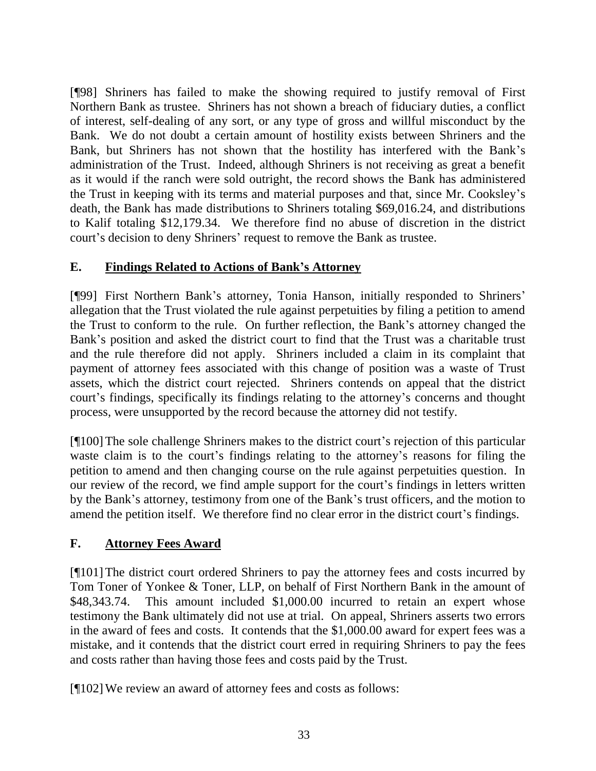[¶98] Shriners has failed to make the showing required to justify removal of First Northern Bank as trustee. Shriners has not shown a breach of fiduciary duties, a conflict of interest, self-dealing of any sort, or any type of gross and willful misconduct by the Bank. We do not doubt a certain amount of hostility exists between Shriners and the Bank, but Shriners has not shown that the hostility has interfered with the Bank's administration of the Trust. Indeed, although Shriners is not receiving as great a benefit as it would if the ranch were sold outright, the record shows the Bank has administered the Trust in keeping with its terms and material purposes and that, since Mr. Cooksley's death, the Bank has made distributions to Shriners totaling \$69,016.24, and distributions to Kalif totaling \$12,179.34. We therefore find no abuse of discretion in the district court's decision to deny Shriners' request to remove the Bank as trustee.

### **E. Findings Related to Actions of Bank's Attorney**

[¶99] First Northern Bank's attorney, Tonia Hanson, initially responded to Shriners' allegation that the Trust violated the rule against perpetuities by filing a petition to amend the Trust to conform to the rule. On further reflection, the Bank's attorney changed the Bank's position and asked the district court to find that the Trust was a charitable trust and the rule therefore did not apply. Shriners included a claim in its complaint that payment of attorney fees associated with this change of position was a waste of Trust assets, which the district court rejected. Shriners contends on appeal that the district court's findings, specifically its findings relating to the attorney's concerns and thought process, were unsupported by the record because the attorney did not testify.

[¶100]The sole challenge Shriners makes to the district court's rejection of this particular waste claim is to the court's findings relating to the attorney's reasons for filing the petition to amend and then changing course on the rule against perpetuities question. In our review of the record, we find ample support for the court's findings in letters written by the Bank's attorney, testimony from one of the Bank's trust officers, and the motion to amend the petition itself. We therefore find no clear error in the district court's findings.

### **F. Attorney Fees Award**

[¶101]The district court ordered Shriners to pay the attorney fees and costs incurred by Tom Toner of Yonkee & Toner, LLP, on behalf of First Northern Bank in the amount of \$48,343.74. This amount included \$1,000.00 incurred to retain an expert whose testimony the Bank ultimately did not use at trial. On appeal, Shriners asserts two errors in the award of fees and costs. It contends that the \$1,000.00 award for expert fees was a mistake, and it contends that the district court erred in requiring Shriners to pay the fees and costs rather than having those fees and costs paid by the Trust.

[¶102]We review an award of attorney fees and costs as follows: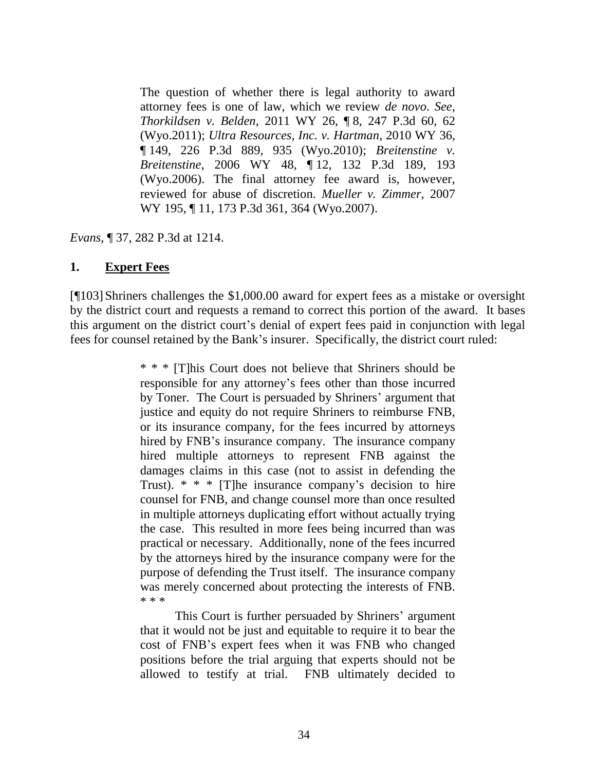The question of whether there is legal authority to award attorney fees is one of law, which we review *de novo*. *See*, *[Thorkildsen v. Belden](http://www.westlaw.com/Link/Document/FullText?findType=Y&serNum=2024602854&pubNum=0004645&originatingDoc=Ic3ae0ea6e6ec11e1b60bb297d3d07bc5&refType=RP&fi=co_pp_sp_4645_62&originationContext=document&vr=3.0&rs=cblt1.0&transitionType=DocumentItem&contextData=(sc.Search)#co_pp_sp_4645_62)*, 2011 WY 26, ¶ 8, 247 P.3d 60, 62 [\(Wyo.2011\);](http://www.westlaw.com/Link/Document/FullText?findType=Y&serNum=2024602854&pubNum=0004645&originatingDoc=Ic3ae0ea6e6ec11e1b60bb297d3d07bc5&refType=RP&fi=co_pp_sp_4645_62&originationContext=document&vr=3.0&rs=cblt1.0&transitionType=DocumentItem&contextData=(sc.Search)#co_pp_sp_4645_62) *[Ultra Resources, Inc. v. Hartman](http://www.westlaw.com/Link/Document/FullText?findType=Y&serNum=2021590768&pubNum=0004645&originatingDoc=Ic3ae0ea6e6ec11e1b60bb297d3d07bc5&refType=RP&fi=co_pp_sp_4645_935&originationContext=document&vr=3.0&rs=cblt1.0&transitionType=DocumentItem&contextData=(sc.Search)#co_pp_sp_4645_935)*, 2010 WY 36, ¶ [149, 226 P.3d 889, 935 \(Wyo.2010\);](http://www.westlaw.com/Link/Document/FullText?findType=Y&serNum=2021590768&pubNum=0004645&originatingDoc=Ic3ae0ea6e6ec11e1b60bb297d3d07bc5&refType=RP&fi=co_pp_sp_4645_935&originationContext=document&vr=3.0&rs=cblt1.0&transitionType=DocumentItem&contextData=(sc.Search)#co_pp_sp_4645_935) *[Breitenstine v.](http://www.westlaw.com/Link/Document/FullText?findType=Y&serNum=2008938092&pubNum=0004645&originatingDoc=Ic3ae0ea6e6ec11e1b60bb297d3d07bc5&refType=RP&fi=co_pp_sp_4645_193&originationContext=document&vr=3.0&rs=cblt1.0&transitionType=DocumentItem&contextData=(sc.Search)#co_pp_sp_4645_193)  Breitenstine*, 2006 WY 48, ¶ [12, 132 P.3d 189, 193](http://www.westlaw.com/Link/Document/FullText?findType=Y&serNum=2008938092&pubNum=0004645&originatingDoc=Ic3ae0ea6e6ec11e1b60bb297d3d07bc5&refType=RP&fi=co_pp_sp_4645_193&originationContext=document&vr=3.0&rs=cblt1.0&transitionType=DocumentItem&contextData=(sc.Search)#co_pp_sp_4645_193)  [\(Wyo.2006\).](http://www.westlaw.com/Link/Document/FullText?findType=Y&serNum=2008938092&pubNum=0004645&originatingDoc=Ic3ae0ea6e6ec11e1b60bb297d3d07bc5&refType=RP&fi=co_pp_sp_4645_193&originationContext=document&vr=3.0&rs=cblt1.0&transitionType=DocumentItem&contextData=(sc.Search)#co_pp_sp_4645_193) The final attorney fee award is, however, reviewed for abuse of discretion. *[Mueller v. Zimmer](http://www.westlaw.com/Link/Document/FullText?findType=Y&serNum=2014321020&pubNum=0004645&originatingDoc=Ic3ae0ea6e6ec11e1b60bb297d3d07bc5&refType=RP&fi=co_pp_sp_4645_364&originationContext=document&vr=3.0&rs=cblt1.0&transitionType=DocumentItem&contextData=(sc.Search)#co_pp_sp_4645_364)*, 2007 WY 195, ¶ [11, 173 P.3d 361, 364 \(Wyo.2007\).](http://www.westlaw.com/Link/Document/FullText?findType=Y&serNum=2014321020&pubNum=0004645&originatingDoc=Ic3ae0ea6e6ec11e1b60bb297d3d07bc5&refType=RP&fi=co_pp_sp_4645_364&originationContext=document&vr=3.0&rs=cblt1.0&transitionType=DocumentItem&contextData=(sc.Search)#co_pp_sp_4645_364)

*Evans*, ¶ 37, 282 P.3d at 1214.

#### **1. Expert Fees**

[¶103] Shriners challenges the \$1,000.00 award for expert fees as a mistake or oversight by the district court and requests a remand to correct this portion of the award. It bases this argument on the district court's denial of expert fees paid in conjunction with legal fees for counsel retained by the Bank's insurer. Specifically, the district court ruled:

> \* \* \* [T]his Court does not believe that Shriners should be responsible for any attorney's fees other than those incurred by Toner. The Court is persuaded by Shriners' argument that justice and equity do not require Shriners to reimburse FNB, or its insurance company, for the fees incurred by attorneys hired by FNB's insurance company. The insurance company hired multiple attorneys to represent FNB against the damages claims in this case (not to assist in defending the Trust). \* \* \* [T]he insurance company's decision to hire counsel for FNB, and change counsel more than once resulted in multiple attorneys duplicating effort without actually trying the case. This resulted in more fees being incurred than was practical or necessary. Additionally, none of the fees incurred by the attorneys hired by the insurance company were for the purpose of defending the Trust itself. The insurance company was merely concerned about protecting the interests of FNB. \* \* \*

> This Court is further persuaded by Shriners' argument that it would not be just and equitable to require it to bear the cost of FNB's expert fees when it was FNB who changed positions before the trial arguing that experts should not be allowed to testify at trial. FNB ultimately decided to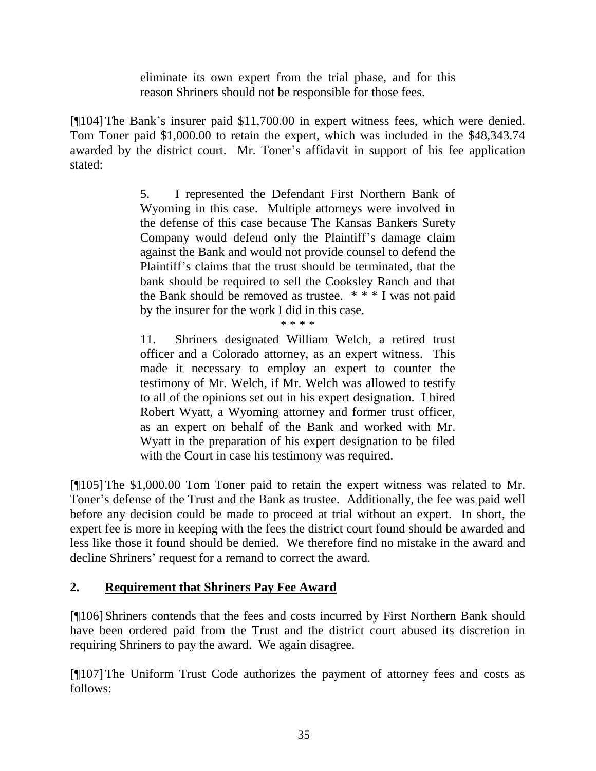eliminate its own expert from the trial phase, and for this reason Shriners should not be responsible for those fees.

[¶104]The Bank's insurer paid \$11,700.00 in expert witness fees, which were denied. Tom Toner paid \$1,000.00 to retain the expert, which was included in the \$48,343.74 awarded by the district court. Mr. Toner's affidavit in support of his fee application stated:

> 5. I represented the Defendant First Northern Bank of Wyoming in this case. Multiple attorneys were involved in the defense of this case because The Kansas Bankers Surety Company would defend only the Plaintiff's damage claim against the Bank and would not provide counsel to defend the Plaintiff's claims that the trust should be terminated, that the bank should be required to sell the Cooksley Ranch and that the Bank should be removed as trustee. \* \* \* I was not paid by the insurer for the work I did in this case.

\* \* \* \*

11. Shriners designated William Welch, a retired trust officer and a Colorado attorney, as an expert witness. This made it necessary to employ an expert to counter the testimony of Mr. Welch, if Mr. Welch was allowed to testify to all of the opinions set out in his expert designation. I hired Robert Wyatt, a Wyoming attorney and former trust officer, as an expert on behalf of the Bank and worked with Mr. Wyatt in the preparation of his expert designation to be filed with the Court in case his testimony was required.

[¶105]The \$1,000.00 Tom Toner paid to retain the expert witness was related to Mr. Toner's defense of the Trust and the Bank as trustee. Additionally, the fee was paid well before any decision could be made to proceed at trial without an expert. In short, the expert fee is more in keeping with the fees the district court found should be awarded and less like those it found should be denied. We therefore find no mistake in the award and decline Shriners' request for a remand to correct the award.

### **2. Requirement that Shriners Pay Fee Award**

[¶106] Shriners contends that the fees and costs incurred by First Northern Bank should have been ordered paid from the Trust and the district court abused its discretion in requiring Shriners to pay the award. We again disagree.

[¶107]The Uniform Trust Code authorizes the payment of attorney fees and costs as follows: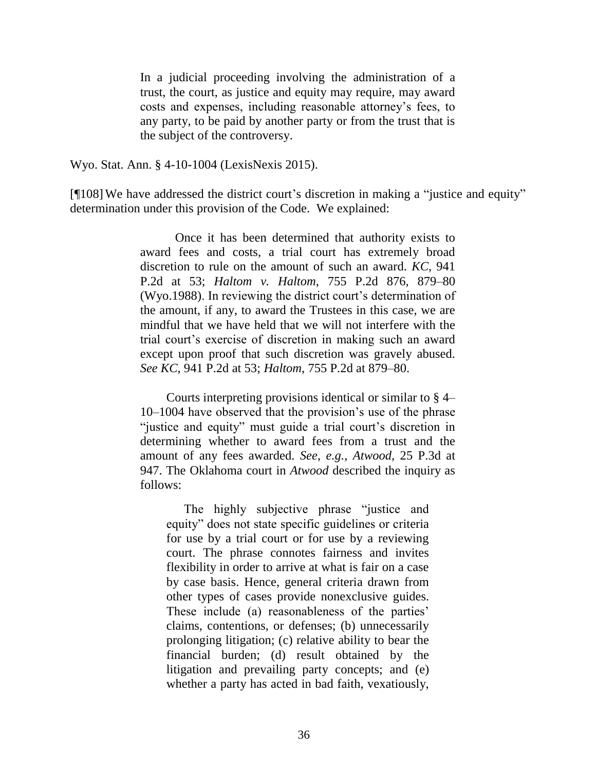In a judicial proceeding involving the administration of a trust, the court, as justice and equity may require, may award costs and expenses, including reasonable attorney's fees, to any party, to be paid by another party or from the trust that is the subject of the controversy.

Wyo. Stat. Ann. § 4-10-1004 (LexisNexis 2015).

[¶108]We have addressed the district court's discretion in making a "justice and equity" determination under this provision of the Code. We explained:

> Once it has been determined that authority exists to award fees and costs, a trial court has extremely broad discretion to rule on the amount of such an award. *KC*[, 941](http://www.westlaw.com/Link/Document/FullText?findType=Y&serNum=1997138762&pubNum=661&originatingDoc=I3c04d697839511df8e45a3b5a338fda3&refType=RP&fi=co_pp_sp_661_53&originationContext=document&vr=3.0&rs=cblt1.0&transitionType=DocumentItem&contextData=(sc.UserEnteredCitation)#co_pp_sp_661_53)  [P.2d at 53;](http://www.westlaw.com/Link/Document/FullText?findType=Y&serNum=1997138762&pubNum=661&originatingDoc=I3c04d697839511df8e45a3b5a338fda3&refType=RP&fi=co_pp_sp_661_53&originationContext=document&vr=3.0&rs=cblt1.0&transitionType=DocumentItem&contextData=(sc.UserEnteredCitation)#co_pp_sp_661_53) *[Haltom v. Haltom](http://www.westlaw.com/Link/Document/FullText?findType=Y&serNum=1988076626&pubNum=661&originatingDoc=I3c04d697839511df8e45a3b5a338fda3&refType=RP&fi=co_pp_sp_661_879&originationContext=document&vr=3.0&rs=cblt1.0&transitionType=DocumentItem&contextData=(sc.UserEnteredCitation)#co_pp_sp_661_879)*, 755 P.2d 876, 879–80 [\(Wyo.1988\).](http://www.westlaw.com/Link/Document/FullText?findType=Y&serNum=1988076626&pubNum=661&originatingDoc=I3c04d697839511df8e45a3b5a338fda3&refType=RP&fi=co_pp_sp_661_879&originationContext=document&vr=3.0&rs=cblt1.0&transitionType=DocumentItem&contextData=(sc.UserEnteredCitation)#co_pp_sp_661_879) In reviewing the district court's determination of the amount, if any, to award the Trustees in this case, we are mindful that we have held that we will not interfere with the trial court's exercise of discretion in making such an award except upon proof that such discretion was gravely abused. *See KC*[, 941 P.2d at 53;](http://www.westlaw.com/Link/Document/FullText?findType=Y&serNum=1997138762&pubNum=661&originatingDoc=I3c04d697839511df8e45a3b5a338fda3&refType=RP&fi=co_pp_sp_661_53&originationContext=document&vr=3.0&rs=cblt1.0&transitionType=DocumentItem&contextData=(sc.UserEnteredCitation)#co_pp_sp_661_53) *Haltom*[, 755 P.2d at 879–80.](http://www.westlaw.com/Link/Document/FullText?findType=Y&serNum=1988076626&pubNum=661&originatingDoc=I3c04d697839511df8e45a3b5a338fda3&refType=RP&fi=co_pp_sp_661_879&originationContext=document&vr=3.0&rs=cblt1.0&transitionType=DocumentItem&contextData=(sc.UserEnteredCitation)#co_pp_sp_661_879)

> Courts interpreting provisions identical or similar to [§ 4–](http://www.westlaw.com/Link/Document/FullText?findType=L&pubNum=1000377&cite=WYSTS4-10-1004&originatingDoc=I3c04d697839511df8e45a3b5a338fda3&refType=LQ&originationContext=document&vr=3.0&rs=cblt1.0&transitionType=DocumentItem&contextData=(sc.UserEnteredCitation)) [10–1004](http://www.westlaw.com/Link/Document/FullText?findType=L&pubNum=1000377&cite=WYSTS4-10-1004&originatingDoc=I3c04d697839511df8e45a3b5a338fda3&refType=LQ&originationContext=document&vr=3.0&rs=cblt1.0&transitionType=DocumentItem&contextData=(sc.UserEnteredCitation)) have observed that the provision's use of the phrase "justice and equity" must guide a trial court's discretion in determining whether to award fees from a trust and the amount of any fees awarded. *See*, *e.g.*, *Atwood*[, 25 P.3d at](http://www.westlaw.com/Link/Document/FullText?findType=Y&serNum=2001402745&pubNum=4645&originatingDoc=I3c04d697839511df8e45a3b5a338fda3&refType=RP&fi=co_pp_sp_4645_947&originationContext=document&vr=3.0&rs=cblt1.0&transitionType=DocumentItem&contextData=(sc.UserEnteredCitation)#co_pp_sp_4645_947)  [947.](http://www.westlaw.com/Link/Document/FullText?findType=Y&serNum=2001402745&pubNum=4645&originatingDoc=I3c04d697839511df8e45a3b5a338fda3&refType=RP&fi=co_pp_sp_4645_947&originationContext=document&vr=3.0&rs=cblt1.0&transitionType=DocumentItem&contextData=(sc.UserEnteredCitation)#co_pp_sp_4645_947) The Oklahoma court in *[Atwood](http://www.westlaw.com/Link/Document/FullText?findType=Y&serNum=2001402745&originatingDoc=I3c04d697839511df8e45a3b5a338fda3&refType=RP&originationContext=document&vr=3.0&rs=cblt1.0&transitionType=DocumentItem&contextData=(sc.UserEnteredCitation))* described the inquiry as follows:

The highly subjective phrase "justice and equity" does not state specific guidelines or criteria for use by a trial court or for use by a reviewing court. The phrase connotes fairness and invites flexibility in order to arrive at what is fair on a case by case basis. Hence, general criteria drawn from other types of cases provide nonexclusive guides. These include (a) reasonableness of the parties' claims, contentions, or defenses; (b) unnecessarily prolonging litigation; (c) relative ability to bear the financial burden; (d) result obtained by the litigation and prevailing party concepts; and (e) whether a party has acted in bad faith, vexatiously,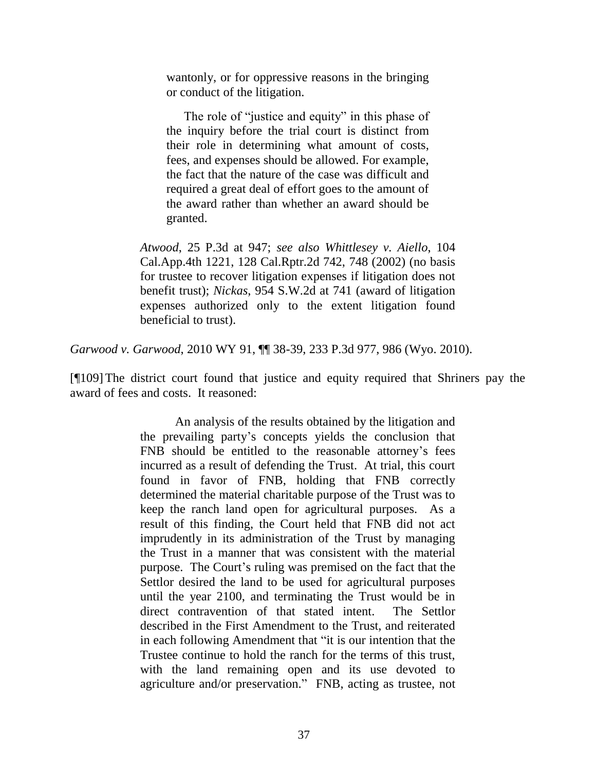wantonly, or for oppressive reasons in the bringing or conduct of the litigation.

The role of "justice and equity" in this phase of the inquiry before the trial court is distinct from their role in determining what amount of costs, fees, and expenses should be allowed. For example, the fact that the nature of the case was difficult and required a great deal of effort goes to the amount of the award rather than whether an award should be granted.

*Atwood*[, 25 P.3d at 947;](http://www.westlaw.com/Link/Document/FullText?findType=Y&serNum=2001402745&pubNum=4645&originatingDoc=I3c04d697839511df8e45a3b5a338fda3&refType=RP&fi=co_pp_sp_4645_947&originationContext=document&vr=3.0&rs=cblt1.0&transitionType=DocumentItem&contextData=(sc.UserEnteredCitation)#co_pp_sp_4645_947) *see also [Whittlesey v. Aiello](http://www.westlaw.com/Link/Document/FullText?findType=Y&serNum=2002800653&pubNum=3484&originatingDoc=I3c04d697839511df8e45a3b5a338fda3&refType=RP&fi=co_pp_sp_3484_748&originationContext=document&vr=3.0&rs=cblt1.0&transitionType=DocumentItem&contextData=(sc.UserEnteredCitation)#co_pp_sp_3484_748)*, 104 [Cal.App.4th 1221, 128 Cal.Rptr.2d 742, 748 \(2002\)](http://www.westlaw.com/Link/Document/FullText?findType=Y&serNum=2002800653&pubNum=3484&originatingDoc=I3c04d697839511df8e45a3b5a338fda3&refType=RP&fi=co_pp_sp_3484_748&originationContext=document&vr=3.0&rs=cblt1.0&transitionType=DocumentItem&contextData=(sc.UserEnteredCitation)#co_pp_sp_3484_748) (no basis for trustee to recover litigation expenses if litigation does not benefit trust); *Nickas*[, 954 S.W.2d at 741](http://www.westlaw.com/Link/Document/FullText?findType=Y&serNum=1997071723&pubNum=713&originatingDoc=I3c04d697839511df8e45a3b5a338fda3&refType=RP&fi=co_pp_sp_713_741&originationContext=document&vr=3.0&rs=cblt1.0&transitionType=DocumentItem&contextData=(sc.UserEnteredCitation)#co_pp_sp_713_741) (award of litigation expenses authorized only to the extent litigation found beneficial to trust).

*Garwood v. Garwood*, 2010 WY 91, ¶¶ 38-39, 233 P.3d 977, 986 (Wyo. 2010).

[¶109]The district court found that justice and equity required that Shriners pay the award of fees and costs. It reasoned:

> An analysis of the results obtained by the litigation and the prevailing party's concepts yields the conclusion that FNB should be entitled to the reasonable attorney's fees incurred as a result of defending the Trust. At trial, this court found in favor of FNB, holding that FNB correctly determined the material charitable purpose of the Trust was to keep the ranch land open for agricultural purposes. As a result of this finding, the Court held that FNB did not act imprudently in its administration of the Trust by managing the Trust in a manner that was consistent with the material purpose. The Court's ruling was premised on the fact that the Settlor desired the land to be used for agricultural purposes until the year 2100, and terminating the Trust would be in direct contravention of that stated intent. The Settlor described in the First Amendment to the Trust, and reiterated in each following Amendment that "it is our intention that the Trustee continue to hold the ranch for the terms of this trust, with the land remaining open and its use devoted to agriculture and/or preservation." FNB, acting as trustee, not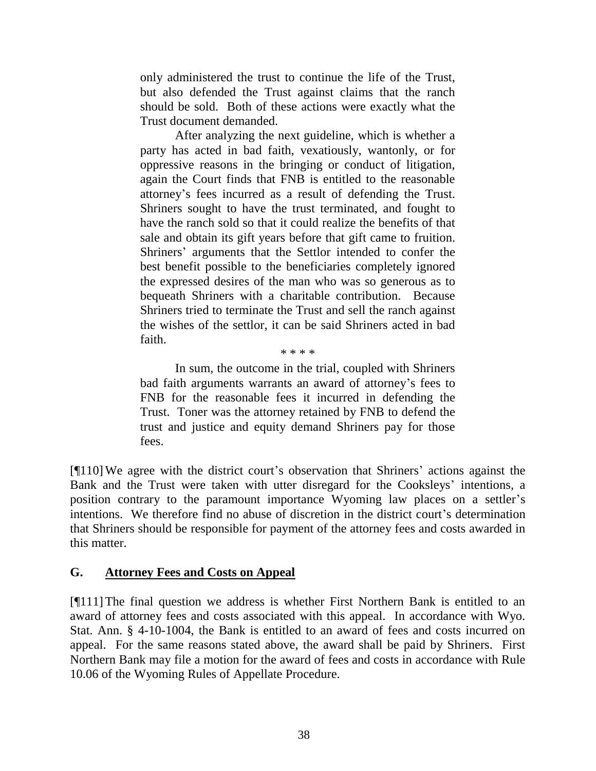only administered the trust to continue the life of the Trust, but also defended the Trust against claims that the ranch should be sold. Both of these actions were exactly what the Trust document demanded.

After analyzing the next guideline, which is whether a party has acted in bad faith, vexatiously, wantonly, or for oppressive reasons in the bringing or conduct of litigation, again the Court finds that FNB is entitled to the reasonable attorney's fees incurred as a result of defending the Trust. Shriners sought to have the trust terminated, and fought to have the ranch sold so that it could realize the benefits of that sale and obtain its gift years before that gift came to fruition. Shriners' arguments that the Settlor intended to confer the best benefit possible to the beneficiaries completely ignored the expressed desires of the man who was so generous as to bequeath Shriners with a charitable contribution. Because Shriners tried to terminate the Trust and sell the ranch against the wishes of the settlor, it can be said Shriners acted in bad faith.

\* \* \* \*

In sum, the outcome in the trial, coupled with Shriners bad faith arguments warrants an award of attorney's fees to FNB for the reasonable fees it incurred in defending the Trust. Toner was the attorney retained by FNB to defend the trust and justice and equity demand Shriners pay for those fees.

[¶110]We agree with the district court's observation that Shriners' actions against the Bank and the Trust were taken with utter disregard for the Cooksleys' intentions, a position contrary to the paramount importance Wyoming law places on a settler's intentions. We therefore find no abuse of discretion in the district court's determination that Shriners should be responsible for payment of the attorney fees and costs awarded in this matter.

#### **G. Attorney Fees and Costs on Appeal**

[¶111]The final question we address is whether First Northern Bank is entitled to an award of attorney fees and costs associated with this appeal. In accordance with Wyo. Stat. Ann. § 4-10-1004, the Bank is entitled to an award of fees and costs incurred on appeal. For the same reasons stated above, the award shall be paid by Shriners. First Northern Bank may file a motion for the award of fees and costs in accordance with Rule 10.06 of the Wyoming Rules of Appellate Procedure.